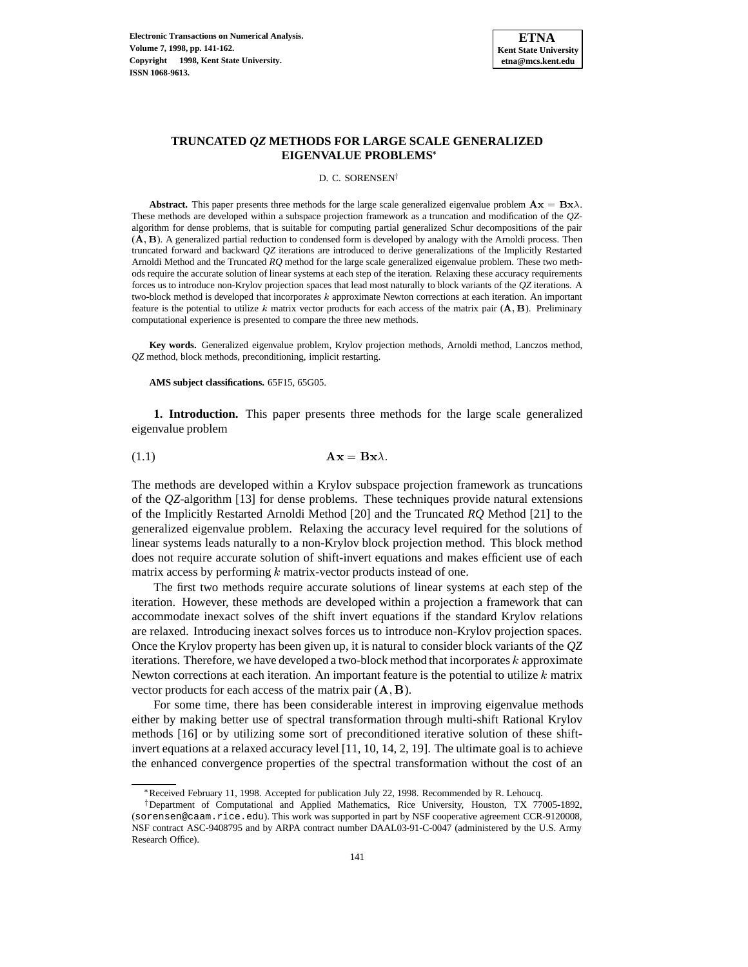

# **TRUNCATED** *QZ* **METHODS FOR LARGE SCALE GENERALIZED EIGENVALUE PROBLEMS**

D. C. SORENSEN<sup>†</sup>

**Abstract.** This paper presents three methods for the large scale generalized eigenvalue problem  $\mathbf{A}\mathbf{x} = \mathbf{B}\mathbf{x}\lambda$ . These methods are developed within a subspace projection framework as a truncation and modification of the *QZ*algorithm for dense problems, that is suitable for computing partial generalized Schur decompositions of the pair (A, B). A generalized partial reduction to condensed form is developed by analogy with the Arnoldi process. Then truncated forward and backward *QZ* iterations are introduced to derive generalizations of the Implicitly Restarted Arnoldi Method and the Truncated *RQ* method for the large scale generalized eigenvalue problem. These two methods require the accurate solution of linear systems at each step of the iteration. Relaxing these accuracy requirements forces us to introduce non-Krylov projection spaces that lead most naturally to block variants of the *QZ* iterations. A two-block method is developed that incorporates <sup>k</sup> approximate Newton corrections at each iteration. An important feature is the potential to utilize k matrix vector products for each access of the matrix pair  $(A, B)$ . Preliminary computational experience is presented to compare the three new methods.

**Key words.** Generalized eigenvalue problem, Krylov projection methods, Arnoldi method, Lanczos method, *QZ* method, block methods, preconditioning, implicit restarting.

**AMS subject classifications.** 65F15, 65G05.

**1. Introduction.** This paper presents three methods for the large scale generalized eigenvalue problem

$$
Ax = Bx\lambda.
$$

The methods are developed within a Krylov subspace projection framework as truncations of the *QZ*-algorithm [13] for dense problems. These techniques provide natural extensions of the Implicitly Restarted Arnoldi Method [20] and the Truncated *RQ* Method [21] to the generalized eigenvalue problem. Relaxing the accuracy level required for the solutions of linear systems leads naturally to a non-Krylov block projection method. This block method does not require accurate solution of shift-invert equations and makes efficient use of each matrix access by performing  $k$  matrix-vector products instead of one.

The first two methods require accurate solutions of linear systems at each step of the iteration. However, these methods are developed within a projection a framework that can accommodate inexact solves of the shift invert equations if the standard Krylov relations are relaxed. Introducing inexact solves forces us to introduce non-Krylov projection spaces. Once the Krylov property has been given up, it is natural to consider block variants of the *QZ* iterations. Therefore, we have developed a two-block method that incorporates <sup>k</sup> approximate Newton corrections at each iteration. An important feature is the potential to utilize  $k$  matrix vector products for each access of the matrix pair  $(A, B)$ .

For some time, there has been considerable interest in improving eigenvalue methods either by making better use of spectral transformation through multi-shift Rational Krylov methods [16] or by utilizing some sort of preconditioned iterative solution of these shiftinvert equations at a relaxed accuracy level [11, 10, 14, 2, 19]. The ultimate goal is to achieve the enhanced convergence properties of the spectral transformation without the cost of an

<sup>\*</sup> Received February 11, 1998. Accepted for publication July 22, 1998. Recommended by R. Lehoucq.

<sup>&</sup>lt;sup>†</sup>Department of Computational and Applied Mathematics, Rice University, Houston, TX 77005-1892, (sorensen@caam.rice.edu). This work was supported in part by NSF cooperative agreement CCR-9120008, NSF contract ASC-9408795 and by ARPA contract number DAAL03-91-C-0047 (administered by the U.S. Army Research Office).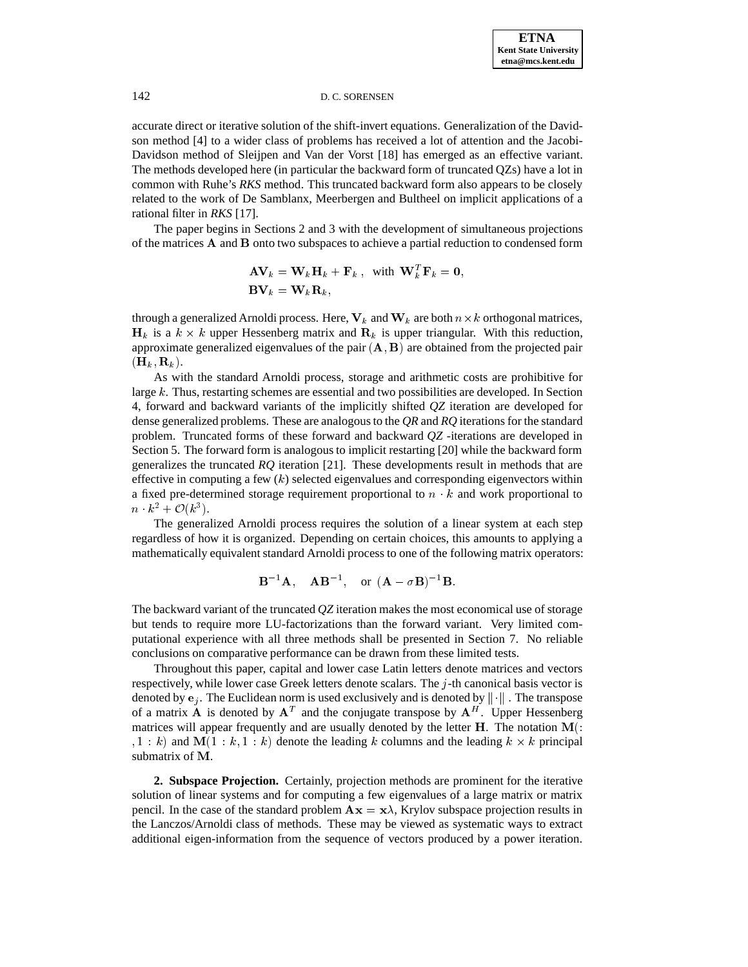accurate direct or iterative solution of the shift-invert equations. Generalization of the Davidson method [4] to a wider class of problems has received a lot of attention and the Jacobi-Davidson method of Sleijpen and Van der Vorst [18] has emerged as an effective variant. The methods developed here (in particular the backward form of truncated QZs) have a lot in common with Ruhe's *RKS* method. This truncated backward form also appears to be closely related to the work of De Samblanx, Meerbergen and Bultheel on implicit applications of a rational filter in *RKS* [17].

The paper begins in Sections 2 and 3 with the development of simultaneous projections of the matrices A and B onto two subspaces to achieve a partial reduction to condensed form

$$
\mathbf{A}\mathbf{V}_k = \mathbf{W}_k \mathbf{H}_k + \mathbf{F}_k \,, \text{ with } \mathbf{W}_k^T \mathbf{F}_k = \mathbf{0},
$$
  

$$
\mathbf{B}\mathbf{V}_k = \mathbf{W}_k \mathbf{R}_k,
$$

through a generalized Arnoldi process. Here,  $V_k$  and  $W_k$  are both  $n \times k$  orthogonal matrices,  $H_k$  is a  $k \times k$  upper Hessenberg matrix and  $R_k$  is upper triangular. With this reduction, approximate generalized eigenvalues of the pair  $(A, B)$  are obtained from the projected pair  $(\mathbf{H}_k, \mathbf{R}_k).$ 

As with the standard Arnoldi process, storage and arithmetic costs are prohibitive for large <sup>k</sup>. Thus, restarting schemes are essential and two possibilities are developed. In Section 4, forward and backward variants of the implicitly shifted *QZ* iteration are developed for dense generalized problems. These are analogous to the *QR* and *RQ* iterations for the standard problem. Truncated forms of these forward and backward *QZ* -iterations are developed in Section 5. The forward form is analogous to implicit restarting [20] while the backward form generalizes the truncated *RQ* iteration [21]. These developments result in methods that are effective in computing a few  $(k)$  selected eigenvalues and corresponding eigenvectors within a fixed pre-determined storage requirement proportional to  $n \cdot k$  and work proportional to  $n \cdot k^2 + \mathcal{O}(k^3)$ .

The generalized Arnoldi process requires the solution of a linear system at each step regardless of how it is organized. Depending on certain choices, this amounts to applying a mathematically equivalent standard Arnoldi process to one of the following matrix operators:

$$
B^{-1}A
$$
,  $AB^{-1}$ , or  $(A - \sigma B)^{-1}B$ .

The backward variant of the truncated *QZ* iteration makes the most economical use of storage but tends to require more LU-factorizations than the forward variant. Very limited computational experience with all three methods shall be presented in Section 7. No reliable conclusions on comparative performance can be drawn from these limited tests.

Throughout this paper, capital and lower case Latin letters denote matrices and vectors respectively, while lower case Greek letters denote scalars. The <sup>j</sup>-th canonical basis vector is denoted by  $e_i$ . The Euclidean norm is used exclusively and is denoted by  $\|\cdot\|$ . The transpose of a matrix **A** is denoted by  $A<sup>T</sup>$  and the conjugate transpose by  $A<sup>H</sup>$ . Upper Hessenberg matrices will appear frequently and are usually denoted by the letter  $H$ . The notation  $M($ :  $i, 1 : k$  and  $M(1 : k, 1 : k)$  denote the leading k columns and the leading  $k \times k$  principal submatrix of M.

**2. Subspace Projection.** Certainly, projection methods are prominent for the iterative solution of linear systems and for computing a few eigenvalues of a large matrix or matrix pencil. In the case of the standard problem  $\mathbf{A}\mathbf{x} = \mathbf{x}\lambda$ , Krylov subspace projection results in the Lanczos/Arnoldi class of methods. These may be viewed as systematic ways to extract additional eigen-information from the sequence of vectors produced by a power iteration.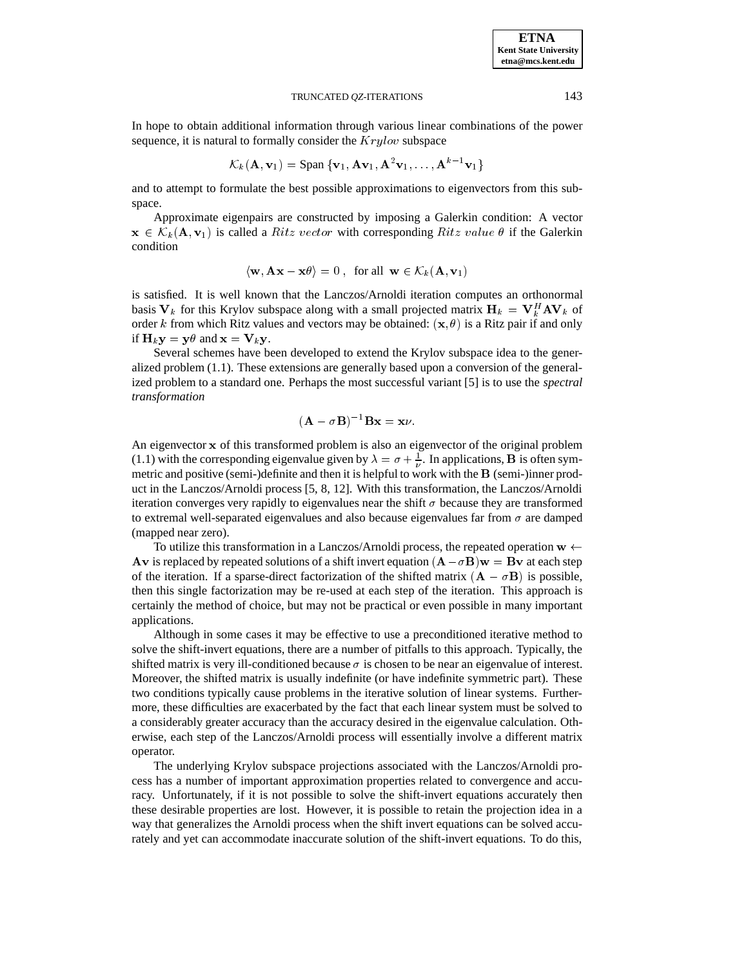In hope to obtain additional information through various linear combinations of the power sequence, it is natural to formally consider the  $Krylov$  subspace

$$
\mathcal{K}_k(\mathbf{A}, \mathbf{v}_1) = \text{Span } \{ \mathbf{v}_1, \mathbf{A} \mathbf{v}_1, \mathbf{A}^2 \mathbf{v}_1, \dots, \mathbf{A}^{k-1} \mathbf{v}_1 \}
$$

and to attempt to formulate the best possible approximations to eigenvectors from this subspace.

Approximate eigenpairs are constructed by imposing a Galerkin condition: A vector  $\mathbf{x} \in \mathcal{K}_k(\mathbf{A}, \mathbf{v}_1)$  is called a *Ritz vector* with corresponding *Ritz value*  $\theta$  if the Galerkin condition

$$
\langle \mathbf{w}, \mathbf{A}\mathbf{x} - \mathbf{x}\theta \rangle = 0
$$
, for all  $\mathbf{w} \in \mathcal{K}_k(\mathbf{A}, \mathbf{v}_1)$ 

is satisfied. It is well known that the Lanczos/Arnoldi iteration computes an orthonormal basis  $V_k$  for this Krylov subspace along with a small projected matrix  $H_k = V_k^H A V_k$  of order k from which Ritz values and vectors may be obtained:  $(x, \theta)$  is a Ritz pair if and only if  $H_k y = y \theta$  and  $x = V_k y$ .

Several schemes have been developed to extend the Krylov subspace idea to the generalized problem (1.1). These extensions are generally based upon a conversion of the generalized problem to a standard one. Perhaps the most successful variant [5] is to use the *spectral transformation*

$$
(\mathbf{A} - \sigma \mathbf{B})^{-1} \mathbf{B} \mathbf{x} = \mathbf{x} \nu.
$$

An eigenvector x of this transformed problem is also an eigenvector of the original problem (1.1) with the corresponding eigenvalue given by  $\lambda = \sigma + \frac{1}{\nu}$ . In applications, **B** is often sym metric and positive (semi-)definite and then it is helpful to work with the <sup>B</sup> (semi-)inner product in the Lanczos/Arnoldi process [5, 8, 12]. With this transformation, the Lanczos/Arnoldi iteration converges very rapidly to eigenvalues near the shift  $\sigma$  because they are transformed to extremal well-separated eigenvalues and also because eigenvalues far from  $\sigma$  are damped (mapped near zero).

To utilize this transformation in a Lanczos/Arnoldi process, the repeated operation  $w \leftarrow$ Av is replaced by repeated solutions of a shift invert equation  $(A - \sigma B)w = Bv$  at each step of the iteration. If a sparse-direct factorization of the shifted matrix  $(A - \sigma B)$  is possible, then this single factorization may be re-used at each step of the iteration. This approach is certainly the method of choice, but may not be practical or even possible in many important applications.

Although in some cases it may be effective to use a preconditioned iterative method to solve the shift-invert equations, there are a number of pitfalls to this approach. Typically, the shifted matrix is very ill-conditioned because  $\sigma$  is chosen to be near an eigenvalue of interest. Moreover, the shifted matrix is usually indefinite (or have indefinite symmetric part). These two conditions typically cause problems in the iterative solution of linear systems. Furthermore, these difficulties are exacerbated by the fact that each linear system must be solved to a considerably greater accuracy than the accuracy desired in the eigenvalue calculation. Otherwise, each step of the Lanczos/Arnoldi process will essentially involve a different matrix operator.

The underlying Krylov subspace projections associated with the Lanczos/Arnoldi process has a number of important approximation properties related to convergence and accuracy. Unfortunately, if it is not possible to solve the shift-invert equations accurately then these desirable properties are lost. However, it is possible to retain the projection idea in a way that generalizes the Arnoldi process when the shift invert equations can be solved accurately and yet can accommodate inaccurate solution of the shift-invert equations. To do this,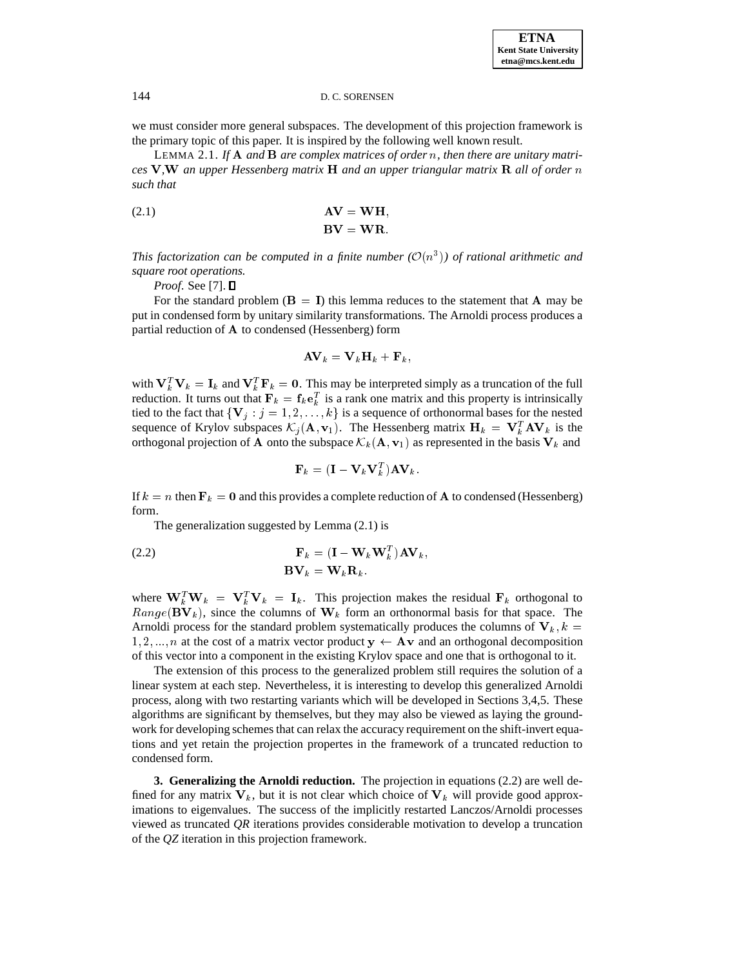we must consider more general subspaces. The development of this projection framework is the primary topic of this paper. It is inspired by the following well known result.

LEMMA 2.1. *If* A *and* B *are complex matrices of order* n*, then there are unitary matrices* V*,*W *an upper Hessenberg matrix* H *and an upper triangular matrix* R *all of order* n *such that*

(2.1) 
$$
AV = WH,
$$

$$
BV = WR.
$$

This factorization can be computed in a finite number  $(\mathcal{O}(n^3))$  of rational arithmetic and *square root operations.*

*Proof.* See [7]. □

For the standard problem ( $B = I$ ) this lemma reduces to the statement that A may be put in condensed form by unitary similarity transformations. The Arnoldi process produces a partial reduction of A to condensed (Hessenberg) form

$$
\mathbf{A}\mathbf{V}_k = \mathbf{V}_k\mathbf{H}_k + \mathbf{F}_k,
$$

with  $V_k^T V_k = I_k$  and  $V_k^T F_k = 0$ . This may be interpreted simply as a truncation of the full reduction. It turns out that  $F_k = f_k e_k^T$  is a rank one matrix and this property is intrinsically tied to the fact that  $\{V_j : j = 1, 2, \ldots, k\}$  is a sequence of orthonormal bases for the nested sequence of Krylov subspaces  $\mathcal{K}_j(\mathbf{A}, \mathbf{v}_1)$ . The Hessenberg matrix  $\mathbf{H}_k = \mathbf{V}_k^T \mathbf{A} \mathbf{V}_k$  is the orthogonal projection of A onto the subspace  $\mathcal{K}_k (\mathbf{A}, \mathbf{v}_1)$  as represented in the basis  $\mathbf{V}_k$  and

$$
\mathbf{F}_k = (\mathbf{I} - \mathbf{V}_k \mathbf{V}_k^T) \mathbf{A} \mathbf{V}_k.
$$

If  $k = n$  then  $\mathbf{F}_k = 0$  and this provides a complete reduction of **A** to condensed (Hessenberg) form.

The generalization suggested by Lemma (2.1) is

(2.2) 
$$
\mathbf{F}_k = (\mathbf{I} - \mathbf{W}_k \mathbf{W}_k^T) \mathbf{A} \mathbf{V}_k,
$$

$$
\mathbf{B} \mathbf{V}_k = \mathbf{W}_k \mathbf{R}_k.
$$

where  $W_k^T W_k = V_k^T V_k = I_k$ . This projection makes the residual  $F_k$  orthogonal to  $Range(BV_k)$ , since the columns of  $W_k$  form an orthonormal basis for that space. The Arnoldi process for the standard problem systematically produces the columns of  $V_k$ ,  $k =$  $1, 2, ..., n$  at the cost of a matrix vector product  $y \leftarrow Av$  and an orthogonal decomposition of this vector into a component in the existing Krylov space and one that is orthogonal to it.

The extension of this process to the generalized problem still requires the solution of a linear system at each step. Nevertheless, it is interesting to develop this generalized Arnoldi process, along with two restarting variants which will be developed in Sections 3,4,5. These algorithms are significant by themselves, but they may also be viewed as laying the groundwork for developing schemes that can relax the accuracy requirement on the shift-invert equations and yet retain the projection propertes in the framework of a truncated reduction to condensed form.

**3. Generalizing the Arnoldi reduction.** The projection in equations (2.2) are well defined for any matrix  $V_k$ , but it is not clear which choice of  $V_k$  will provide good approximations to eigenvalues. The success of the implicitly restarted Lanczos/Arnoldi processes viewed as truncated *QR* iterations provides considerable motivation to develop a truncation of the *QZ* iteration in this projection framework.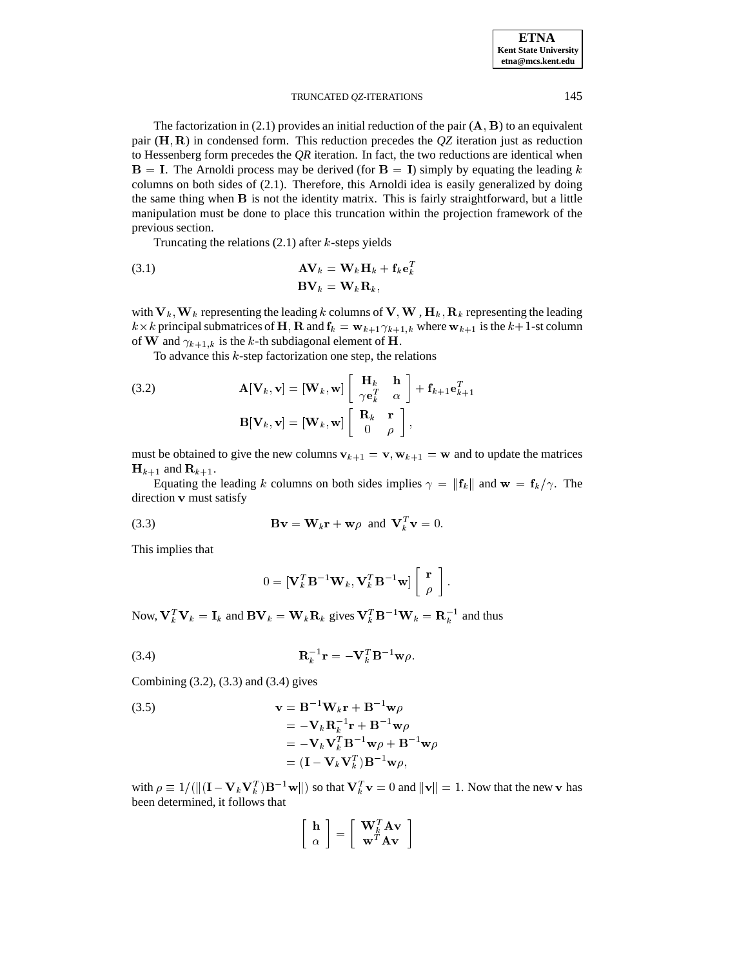The factorization in (2.1) provides an initial reduction of the pair  $(A, B)$  to an equivalent pair (H; R) in condensed form. This reduction precedes the *QZ* iteration just as reduction to Hessenberg form precedes the *QR* iteration. In fact, the two reductions are identical when  $B = I$ . The Arnoldi process may be derived (for  $B = I$ ) simply by equating the leading k columns on both sides of (2.1). Therefore, this Arnoldi idea is easily generalized by doing the same thing when B is not the identity matrix. This is fairly straightforward, but a little manipulation must be done to place this truncation within the projection framework of the previous section.

Truncating the relations  $(2.1)$  after k-steps yields

(3.1) 
$$
\mathbf{A}\mathbf{V}_k = \mathbf{W}_k \mathbf{H}_k + \mathbf{f}_k \mathbf{e}_k^T
$$

$$
\mathbf{B}\mathbf{V}_k = \mathbf{W}_k \mathbf{R}_k,
$$

with  $V_k$ ,  $W_k$  representing the leading k columns of  $V, W, H_k, R_k$  representing the leading  $k \times k$  principal submatrices of H; R and  $f_k = w_{k+1} \gamma_{k+1,k}$  where  $w_{k+1}$  is the  $k+1$ -st column of **W** and  $\gamma_{k+1,k}$  is the k-th subdiagonal element of **H**.

To advance this  $k$ -step factorization one step, the relations

(3.2) 
$$
\mathbf{A}[\mathbf{V}_k, \mathbf{v}] = [\mathbf{W}_k, \mathbf{w}] \begin{bmatrix} \mathbf{H}_k & \mathbf{h} \\ \gamma \mathbf{e}_k^T & \alpha \end{bmatrix} + \mathbf{f}_{k+1} \mathbf{e}_{k+1}^T
$$

$$
\mathbf{B}[\mathbf{V}_k, \mathbf{v}] = [\mathbf{W}_k, \mathbf{w}] \begin{bmatrix} \mathbf{R}_k & \mathbf{r} \\ 0 & \rho \end{bmatrix},
$$

must be obtained to give the new columns  $v_{k+1} = v$ ,  $w_{k+1} = w$  and to update the matrices  $H_{k+1}$  and  $\mathbf{R}_{k+1}$ .

Equating the leading k columns on both sides implies  $\gamma = ||\mathbf{f}_k||$  and  $\mathbf{w} = \mathbf{f}_k/\gamma$ . The direction v must satisfy

(3.3) 
$$
\mathbf{B}\mathbf{v} = \mathbf{W}_k \mathbf{r} + \mathbf{w}\rho \text{ and } \mathbf{V}_k^T \mathbf{v} = 0.
$$

This implies that

$$
0 = [\mathbf{V}_k^T \mathbf{B}^{-1} \mathbf{W}_k, \mathbf{V}_k^T \mathbf{B}^{-1} \mathbf{w}] \left[ \begin{array}{c} \mathbf{r} \\ \rho \end{array} \right].
$$

Now,  $V_k^T V_k = I_k$  and  $\mathbf{B} V_k = \mathbf{W}_k \mathbf{R}_k$  gives  $V_k^T \mathbf{B}^{-1} \mathbf{W}_k = \mathbf{R}_k^{-1}$  and thus

$$
\mathbf{R}_k^{-1}\mathbf{r} = -\mathbf{V}_k^T\mathbf{B}^{-1}\mathbf{w}\rho.
$$

Combining (3.2), (3.3) and (3.4) gives

(3.5)  
\n
$$
\mathbf{v} = \mathbf{B}^{-1} \mathbf{W}_k \mathbf{r} + \mathbf{B}^{-1} \mathbf{w} \rho
$$
\n
$$
= -\mathbf{V}_k \mathbf{R}_k^{-1} \mathbf{r} + \mathbf{B}^{-1} \mathbf{w} \rho
$$
\n
$$
= -\mathbf{V}_k \mathbf{V}_k^T \mathbf{B}^{-1} \mathbf{w} \rho + \mathbf{B}^{-1} \mathbf{w} \rho
$$
\n
$$
= (\mathbf{I} - \mathbf{V}_k \mathbf{V}_k^T) \mathbf{B}^{-1} \mathbf{w} \rho,
$$

with  $\rho \equiv 1/(\|(I - V_k V_k^T)B^{-1} w\|)$  so that  $V_k^T v = 0$  and  $||v|| = 1$ . Now that the new v has been determined, it follows that

$$
\left[\begin{array}{c}\mathbf{h}\\\alpha\end{array}\right]=\left[\begin{array}{c}\mathbf{W}_k^T\mathbf{A}\mathbf{v}\\\mathbf{w}^T\mathbf{A}\mathbf{v}\end{array}\right]
$$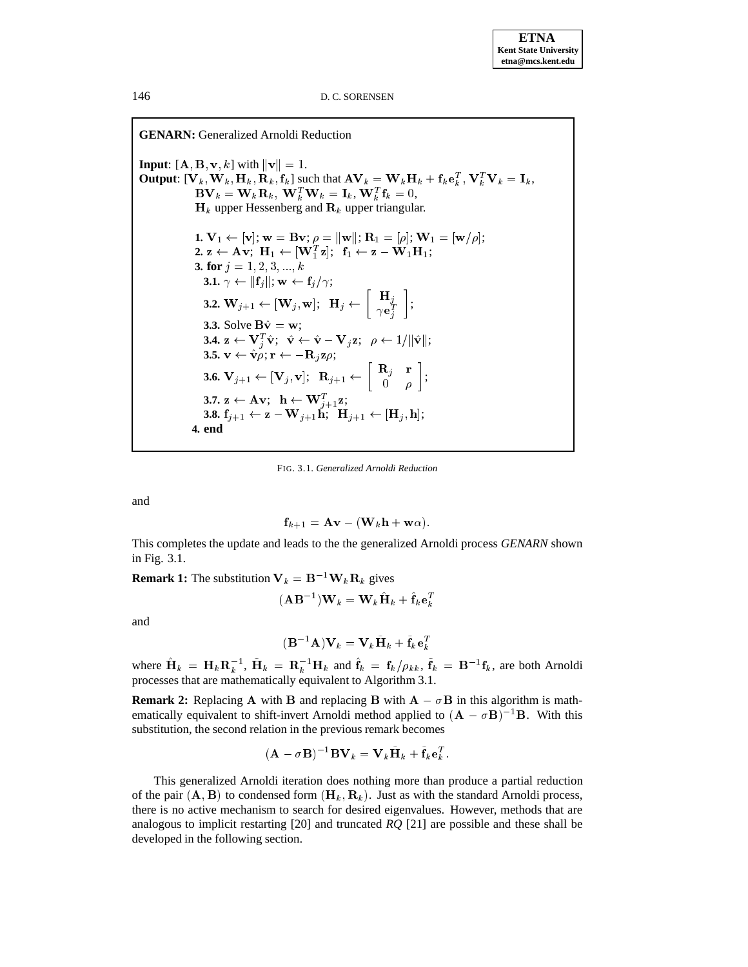**GENARN:** Generalized Arnoldi Reduction **Input**:  $[A, B, v, k]$  with  $||v|| = 1$ . **Output**:  $[\mathbf{V}_k, \mathbf{W}_k, \mathbf{H}_k, \mathbf{R}_k, \mathbf{f}_k]$  such that  $\mathbf{A} \mathbf{V}_k = \mathbf{W}_k \mathbf{H}_k + \mathbf{f}_k \mathbf{e}_k^T, \mathbf{V}_k^T \mathbf{V}_k = \mathbf{I}_k$ ,  $\mathbf{BV}_k = \mathbf{W}_k \mathbf{R}_k, \ \mathbf{W}_k^T \mathbf{W}_k = \mathbf{I}_k, \ \mathbf{W}_k^T \mathbf{f}_k = 0,$  $H_k$  upper Hessenberg and  $\mathbf{R}_k$  upper triangular. **1.**  $V_1 \leftarrow [v]; w = Bv; \rho = ||w||; R_1 = [\rho]; W_1 = [w/\rho];$  $\mathbf{2.} \; \mathbf{z} \leftarrow \mathbf{A} \mathbf{v}; \; \mathbf{H}_1 \leftarrow [\mathbf{W}_1^T \mathbf{z}]; \; \; \mathbf{f}_1 \leftarrow \mathbf{z} - \mathbf{W}_1 \mathbf{H}_1;$ **3. for**  $j = 1, 2, 3, ..., k$ **3.1.**  $\gamma \leftarrow ||\mathbf{f}_j||; \mathbf{w} \leftarrow \mathbf{f}_j/\gamma;$ **3.2.**  $\mathbf{W}_{j+1} \leftarrow [\mathbf{W}_j, \mathbf{w}]; \ \ \mathbf{H}_j \leftarrow \begin{bmatrix} \mathbf{H}_j \\ \mathbf{w}^T \end{bmatrix};$  $\left. \begin{array}{c} \mathbf{H}_{j}\ \gamma\mathbf{e}_{j}^{T} \end{array} \right],$ **3.3.** Solve  $B\hat{v} = w$ ; **3.4.**  $\mathbf{z} \leftarrow \mathbf{V}_j^T \hat{\mathbf{v}}; \quad \hat{\mathbf{v}} \leftarrow \hat{\mathbf{v}} - \mathbf{V}_j \mathbf{z}; \quad \rho \leftarrow 1/\|\hat{\mathbf{v}}\|;$ **3.5.**  $\mathbf{v} \leftarrow \hat{\mathbf{v}} \rho; \mathbf{r} \leftarrow -\mathbf{R}_j \mathbf{z} \rho;$  $\mathbf{3.6.} \ \mathbf{V}_{j+1} \leftarrow \begin{bmatrix} \mathbf{V}_{j}, \mathbf{v} \end{bmatrix}; \ \ \mathbf{R}_{j+1} \leftarrow \begin{bmatrix} \ \mathbf{R}_{j} & \mathbf{r} \ 0 & o \end{bmatrix};$ **3.7.**  $\mathbf{z} \leftarrow \mathbf{A} \mathbf{v}; \ \ \mathbf{h} \leftarrow \mathbf{W}_{i+1}^T \mathbf{z};$ **3.8.**  $f_{i+1} \leftarrow z - W_{i+1}h; \ \mathbf{H}_{i+1} \leftarrow [\mathbf{H}_i, h];$ **4. end**

FIG. 3.1. *Generalized Arnoldi Reduction*

and

$$
\mathbf{f}_{k+1} = \mathbf{A}\mathbf{v} - (\mathbf{W}_k\mathbf{h} + \mathbf{w}\alpha).
$$

This completes the update and leads to the the generalized Arnoldi process *GENARN* shown in Fig. 3.1.

**Remark 1:** The substitution  $V_k = B^{-1}W_kR_k$  gives

$$
(\mathbf{A}\mathbf{B}^{-1})\mathbf{W}_k = \mathbf{W}_k\hat{\mathbf{H}}_k + \hat{\mathbf{f}}_k\mathbf{e}_k^T
$$

and

$$
(\mathbf{B}^{-1}\mathbf{A})\mathbf{V}_k = \mathbf{V}_k\tilde{\mathbf{H}}_k + \tilde{\mathbf{f}}_k\mathbf{e}_k^T
$$

where  $\mathbf{H}_k = \mathbf{H}_k \mathbf{R}_k^{-1}$ ,  $\mathbf{H}_k = \mathbf{R}_k^{-1} \mathbf{H}_k$  and  $\mathbf{f}_k = \mathbf{f}_k / \rho_{kk}$ ,  $\mathbf{f}_k = \mathbf{B}^{-1} \mathbf{f}_k$ , are both Arnoldi processes that are mathematically equivalent to Algorithm 3.1.

**Remark 2:** Replacing A with B and replacing B with  $A - \sigma B$  in this algorithm is mathematically equivalent to shift-invert Arnoldi method applied to  $(A - \sigma B)^{-1}B$ . With this substitution, the second relation in the previous remark becomes

$$
(\mathbf{A} - \sigma \mathbf{B})^{-1} \mathbf{B} \mathbf{V}_k = \mathbf{V}_k \tilde{\mathbf{H}}_k + \tilde{\mathbf{f}}_k \mathbf{e}_k^T.
$$

This generalized Arnoldi iteration does nothing more than produce a partial reduction of the pair  $(A, B)$  to condensed form  $(H_k, R_k)$ . Just as with the standard Arnoldi process, there is no active mechanism to search for desired eigenvalues. However, methods that are analogous to implicit restarting [20] and truncated *RQ* [21] are possible and these shall be developed in the following section.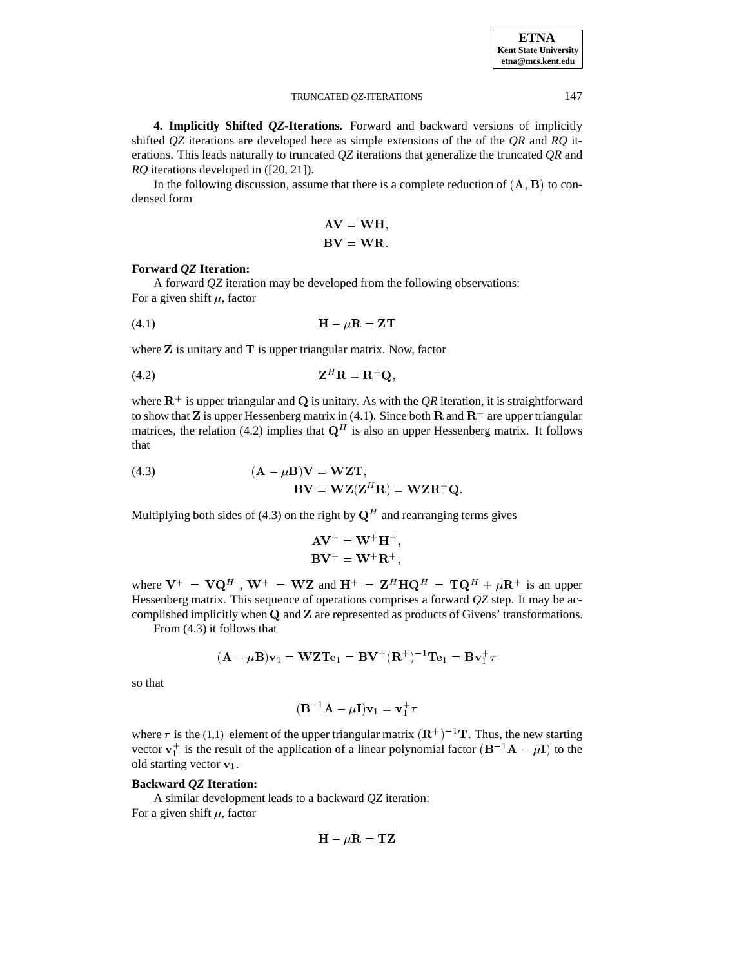**4. Implicitly Shifted** *QZ***-Iterations.** Forward and backward versions of implicitly shifted *QZ* iterations are developed here as simple extensions of the of the *QR* and *RQ* iterations. This leads naturally to truncated *QZ* iterations that generalize the truncated *QR* and *RQ* iterations developed in ([20, 21]).

In the following discussion, assume that there is a complete reduction of  $(A, B)$  to condensed form

$$
AV = WH,
$$
  

$$
BV = WR.
$$

# **Forward** *QZ* **Iteration:**

A forward *QZ* iteration may be developed from the following observations: For a given shift  $\mu$ , factor

(4.1) H R <sup>=</sup> ZT

where  $Z$  is unitary and  $T$  is upper triangular matrix. Now, factor

$$
Z^H \mathbf{R} = \mathbf{R}^+ \mathbf{Q},
$$

where  $\mathbf{R}^+$  is upper triangular and **Q** is unitary. As with the *QR* iteration, it is straightforward to show that **Z** is upper Hessenberg matrix in (4.1). Since both **R** and  $\mathbf{R}^+$  are upper triangular matrices, the relation (4.2) implies that  $\mathbf{Q}^H$  is also an upper Hessenberg matrix. It follows that

(4.3) 
$$
(\mathbf{A} - \mu \mathbf{B})\mathbf{V} = \mathbf{WZ}\mathbf{T},
$$

$$
\mathbf{B}\mathbf{V} = \mathbf{WZ}(\mathbf{Z}^H \mathbf{R}) = \mathbf{WZ}\mathbf{R}^+ \mathbf{Q}.
$$

Multiplying both sides of (4.3) on the right by  $Q^H$  and rearranging terms gives

$$
\mathbf{A}\mathbf{V}^{+} = \mathbf{W}^{+}\mathbf{H}^{+},
$$

$$
\mathbf{B}\mathbf{V}^{+} = \mathbf{W}^{+}\mathbf{R}^{+},
$$

where  $V^+ = VQ^H$ ,  $W^+ = WZ$  and  $H^+ = Z^H H Q^H = TQ^H + \mu R^+$  is an upper Hessenberg matrix. This sequence of operations comprises a forward *QZ* step. It may be accomplished implicitly when <sup>Q</sup> and <sup>Z</sup> are represented as products of Givens' transformations.

From (4.3) it follows that

$$
(\mathbf{A} - \mu \mathbf{B})\mathbf{v}_1 = \mathbf{WZ}\mathbf{T}\mathbf{e}_1 = \mathbf{B}\mathbf{V}^+(\mathbf{R}^+)^{-1}\mathbf{T}\mathbf{e}_1 = \mathbf{B}\mathbf{v}_1^+\tau
$$

so that

$$
(\mathbf{B}^{-1}\mathbf{A}-\mu\mathbf{I})\mathbf{v}_1=\mathbf{v}_1^+\tau
$$

where  $\tau$  is the (1,1) element of the upper triangular matrix  $(\mathbf{R}^+)^{-1}\mathbf{T}$ . Thus, the new starting vector  $v_1^+$  is the result of the application of a linear polynomial factor  $(B^{-1}A - \mu I)$  to the old starting vector  $v_1$ .

# **Backward** *QZ* **Iteration:**

A similar development leads to a backward *QZ* iteration: For a given shift  $\mu$ , factor

$$
\mathbf{H}-\mu\mathbf{R}=\mathbf{TZ}
$$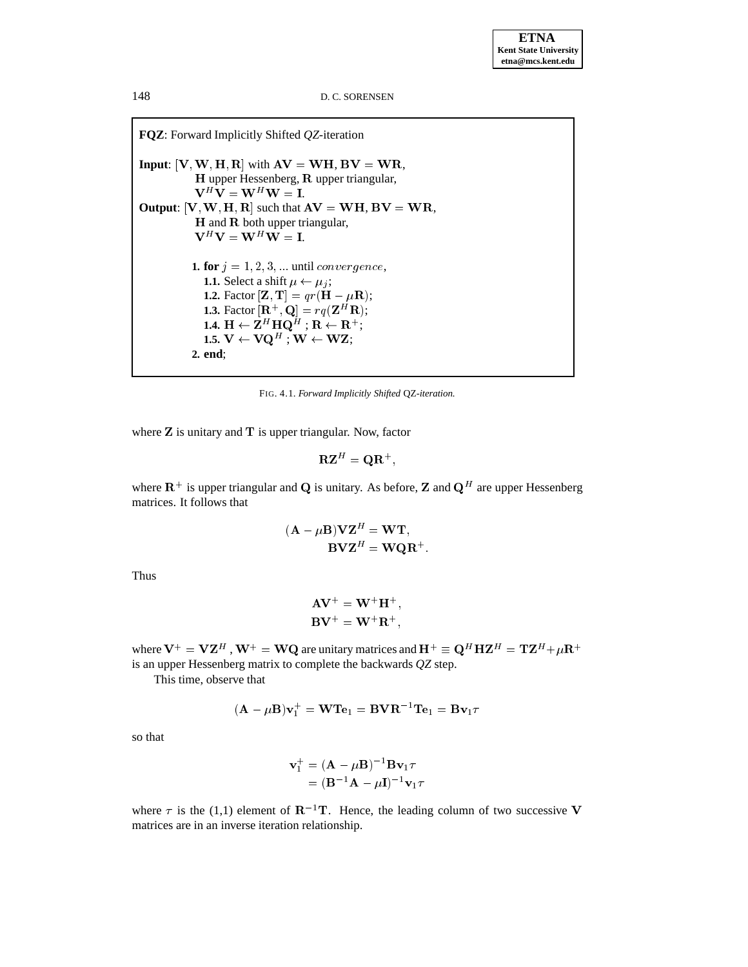**FQZ**: Forward Implicitly Shifted *QZ*-iteration **Input**:  $[V, W, H, R]$  with  $AV = WH, BV = WR$ , H upper Hessenberg, R upper triangular,  $V^H V = W^H W = I.$ **Output:**  $[V, W, H, R]$  such that  $AV = WH$ ,  $BV = WR$ , H and R both upper triangular,  $V^H V = W^H W = I.$ **1. for**  $j = 1, 2, 3, \dots$  until *convergence*, **1.1.** Select a shift  $\mu \leftarrow \mu_j$ ; **1.2.** Factor  $[\mathbf{Z}, \mathbf{T}] = qr(\mathbf{H} - \mu \mathbf{R});$ **1.3.** Factor  $[\mathbf{R}^+, \mathbf{Q}] = r q(\mathbf{Z}^H \mathbf{R});$ 1.4.  $\mathbf{H} \leftarrow \mathbf{Z}^H \, \mathbf{H} \mathbf{Q}^H$  ;  $\mathbf{R} \leftarrow \mathbf{R}^+;$ 1.5.  $\mathrm{V} \leftarrow \mathrm{VQ}^H$  ;  $\mathrm{W} \leftarrow \mathrm{WZ};$ **2. end**;

FIG. 4.1. *Forward Implicitly Shifted* QZ*-iteration.*

where  $Z$  is unitary and  $T$  is upper triangular. Now, factor

$$
\mathbf{R}\mathbf{Z}^{H}=\mathbf{Q}\mathbf{R}^{+},
$$

where  $\mathbf{R}^+$  is upper triangular and Q is unitary. As before, Z and  $\mathbf{Q}^H$  are upper Hessenberg matrices. It follows that

$$
(\mathbf{A} - \mu \mathbf{B})\mathbf{V}\mathbf{Z}^{H} = \mathbf{W}\mathbf{T},
$$

$$
\mathbf{B}\mathbf{V}\mathbf{Z}^{H} = \mathbf{W}\mathbf{Q}\mathbf{R}^{+}.
$$

Thus

$$
\mathbf{A}\mathbf{V}^+ = \mathbf{W}^+\mathbf{H}^+,
$$
  

$$
\mathbf{B}\mathbf{V}^+ = \mathbf{W}^+\mathbf{R}^+,
$$

where  ${\bf V}^+={\bf V}{\bf Z}^H$  ,  ${\bf W}^+={\bf W}{\bf Q}$  are unitary matrices and  ${\bf H}^+\equiv {\bf Q}^H{\bf H}{\bf Z}^H={\bf T}{\bf Z}^H+\mu{\bf R}^+$ is an upper Hessenberg matrix to complete the backwards *QZ* step.

This time, observe that

$$
(\mathbf{A}-\mu \mathbf{B})\mathbf{v}_1^+ = \mathbf{W}\mathbf{T}\mathbf{e}_1 = \mathbf{B}\mathbf{V}\mathbf{R}^{-1}\mathbf{T}\mathbf{e}_1 = \mathbf{B}\mathbf{v}_1\tau
$$

so that

$$
\mathbf{v}_{1}^{+} = (\mathbf{A} - \mu \mathbf{B})^{-1} \mathbf{B} \mathbf{v}_{1} \tau
$$

$$
= (\mathbf{B}^{-1} \mathbf{A} - \mu \mathbf{I})^{-1} \mathbf{v}_{1} \tau
$$

where  $\tau$  is the (1,1) element of  $\mathbb{R}^{-1}\mathbb{T}$ . Hence, the leading column of two successive V matrices are in an inverse iteration relationship.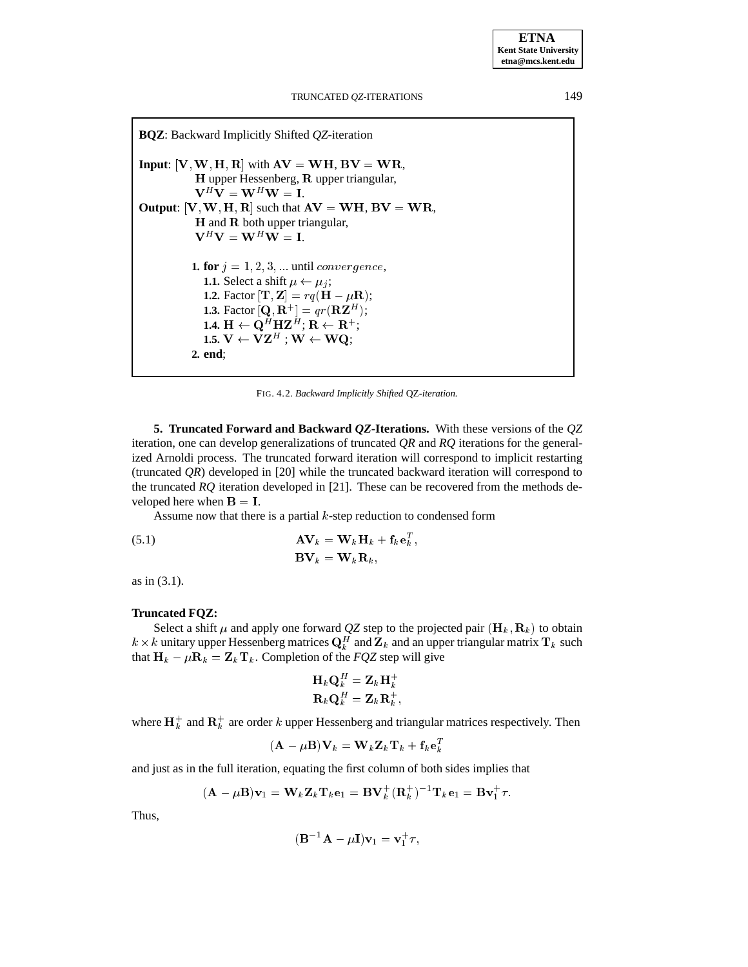**BQZ**: Backward Implicitly Shifted *QZ*-iteration **Input**:  $[V, W, H, R]$  with  $AV = WH, BV = WR$ , H upper Hessenberg, R upper triangular,  $\label{eq:V_HV} \mathbf{V}^H\mathbf{V} = \mathbf{W}^H\mathbf{W} = \mathbf{I}.$ **Output:**  $[V, W, H, R]$  such that  $AV = WH, BV = WR$ , H and R both upper triangular,  $V^H V = W^H W = I.$ **1. for**  $j = 1, 2, 3, \ldots$  until *convergence*, **1.1.** Select a shift  $\mu \leftarrow \mu_j$ ; **1.2.** Factor  $[\mathbf{T}, \mathbf{Z}] = rq(\mathbf{H} - \mu \mathbf{R});$ **1.3.** Factor  $[\mathbf{Q}, \mathbf{R}^+] = qr(\mathbf{R}\mathbf{Z}^H);$ 1.4.  $\mathbf{H} \leftarrow \mathbf{Q}^H \mathbf{H} \mathbf{Z}^H; \, \mathbf{R} \leftarrow \mathbf{R}^+;$ 1.5.  $\mathrm{V} \leftarrow \mathrm{VZ}^H$  ;  $\mathrm{W} \leftarrow \mathrm{WQ};$ **2. end**;

FIG. 4.2. *Backward Implicitly Shifted* QZ*-iteration.*

**5. Truncated Forward and Backward** *QZ***-Iterations.** With these versions of the *QZ* iteration, one can develop generalizations of truncated *QR* and *RQ* iterations for the generalized Arnoldi process. The truncated forward iteration will correspond to implicit restarting (truncated *QR*) developed in [20] while the truncated backward iteration will correspond to the truncated *RQ* iteration developed in [21]. These can be recovered from the methods developed here when  $B = I$ .

Assume now that there is a partial  $k$ -step reduction to condensed form

(5.1) 
$$
\mathbf{A}\mathbf{V}_k = \mathbf{W}_k \mathbf{H}_k + \mathbf{f}_k \mathbf{e}_k^T,
$$

$$
\mathbf{B}\mathbf{V}_k = \mathbf{W}_k \mathbf{R}_k,
$$

as in (3.1).

# **Truncated FQZ:**

Select a shift  $\mu$  and apply one forward QZ step to the projected pair  $(\mathbf{H}_k, \mathbf{R}_k)$  to obtain  $k \times k$  unitary upper Hessenberg matrices  $\mathbf{Q}_k^H$  and  $\mathbf{Z}_k$  and an upper triangular matrix  $\mathbf{T}_k$  such that  $H_k - \mu R_k = Z_k T_k$ . Completion of the *FQZ* step will give

$$
\begin{array}{l} \mathbf{H}_k \mathbf{Q}_k^H = \mathbf{Z}_k \mathbf{H}_k^+ \\ \mathbf{R}_k \mathbf{Q}_k^H = \mathbf{Z}_k \mathbf{R}_k^+, \end{array}
$$

where  $\mathbf{H}_k^+$  and  $\mathbf{R}_k^+$  are order k upper Hessenberg and triangular matrices respectively. Then

$$
(\mathbf{A} - \mu \mathbf{B}) \mathbf{V}_k = \mathbf{W}_k \mathbf{Z}_k \mathbf{T}_k + \mathbf{f}_k \mathbf{e}_k^T
$$

and just as in the full iteration, equating the first column of both sides implies that

$$
(\mathbf{A} - \mu \mathbf{B})\mathbf{v}_1 = \mathbf{W}_k \mathbf{Z}_k \mathbf{T}_k \mathbf{e}_1 = \mathbf{B} \mathbf{V}_k^+(\mathbf{R}_k^+)^{-1} \mathbf{T}_k \mathbf{e}_1 = \mathbf{B} \mathbf{v}_1^+ \tau.
$$

Thus,

$$
(\mathbf{B}^{-1}\mathbf{A} - \mu \mathbf{I})\mathbf{v}_1 = \mathbf{v}_1^+ \tau,
$$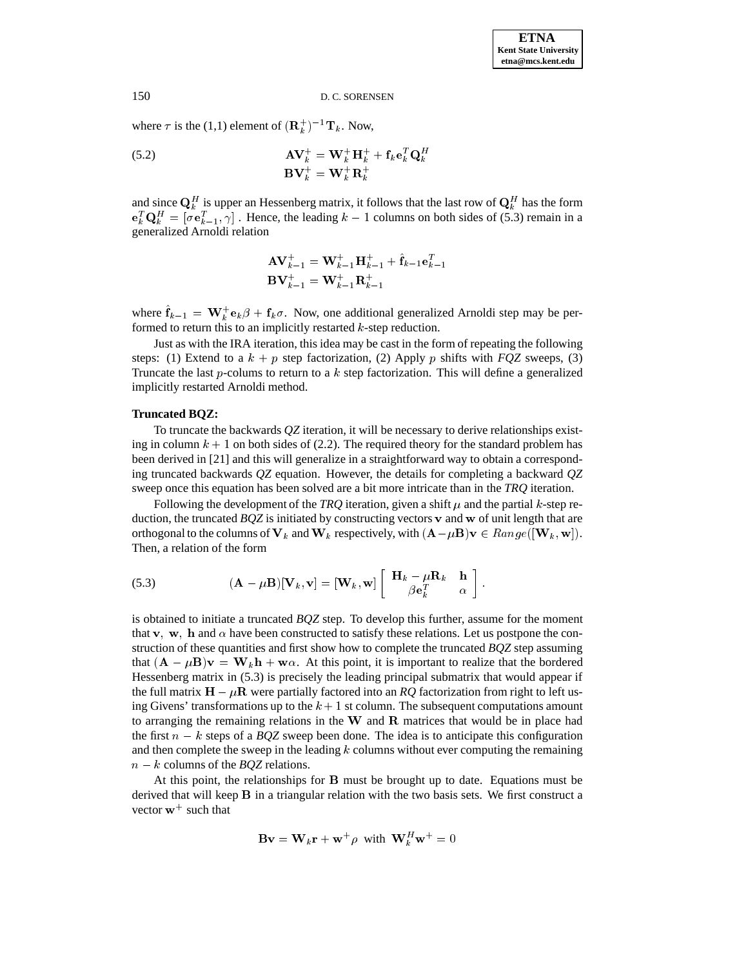where  $\tau$  is the (1,1) element of  $(\mathbf{R}_k^+)^{-1} \mathbf{T}_k$ . Now,

(5.2) 
$$
\mathbf{A} \mathbf{V}_{k}^{+} = \mathbf{W}_{k}^{+} \mathbf{H}_{k}^{+} + \mathbf{f}_{k} \mathbf{e}_{k}^{T} \mathbf{Q}_{k}^{H}
$$

$$
\mathbf{B} \mathbf{V}_{k}^{+} = \mathbf{W}_{k}^{+} \mathbf{R}_{k}^{+}
$$

and since  $\mathbf{Q}_k^H$  is upper an Hessenberg matrix, it follows that the last row of  $\mathbf{Q}_k^H$  has the form  $e_k^T Q_k^H = [\sigma e_{k-1}^T, \gamma]$ . Hence, the leading  $k-1$  columns on both sides of (5.3) remain in a generalized Arnoldi relation

$$
\mathbf{A} \mathbf{V}_{k-1}^+ = \mathbf{W}_{k-1}^+ \mathbf{H}_{k-1}^+ + \hat{\mathbf{f}}_{k-1} \mathbf{e}_{k-1}^T
$$
  

$$
\mathbf{B} \mathbf{V}_{k-1}^+ = \mathbf{W}_{k-1}^+ \mathbf{R}_{k-1}^+
$$

where  $\mathbf{f}_{k-1} = \mathbf{W}_k^+ \mathbf{e}_k \beta + \mathbf{f}_k \sigma$ . Now, one additional generalized Arnoldi step may be performed to return this to an implicitly restarted  $k$ -step reduction.

Just as with the IRA iteration, this idea may be cast in the form of repeating the following steps: (1) Extend to a  $k + p$  step factorization, (2) Apply p shifts with *FQZ* sweeps, (3) Truncate the last p-colums to return to a  $k$  step factorization. This will define a generalized implicitly restarted Arnoldi method.

# **Truncated BQZ:**

To truncate the backwards *QZ* iteration, it will be necessary to derive relationships existing in column  $k + 1$  on both sides of (2.2). The required theory for the standard problem has been derived in [21] and this will generalize in a straightforward way to obtain a corresponding truncated backwards *QZ* equation. However, the details for completing a backward *QZ* sweep once this equation has been solved are a bit more intricate than in the *TRQ* iteration.

Following the development of the *TRQ* iteration, given a shift  $\mu$  and the partial k-step reduction, the truncated *BQZ* is initiated by constructing vectors v and w of unit length that are orthogonal to the columns of  $V_k$  and  $W_k$  respectively, with  $(A - \mu B)v \in Range([W_k, w])$ . Then, a relation of the form

(5.3) 
$$
(\mathbf{A} - \mu \mathbf{B})[\mathbf{V}_k, \mathbf{v}] = [\mathbf{W}_k, \mathbf{w}] \begin{bmatrix} \mathbf{H}_k - \mu \mathbf{R}_k & \mathbf{h} \\ \beta \mathbf{e}_k^T & \alpha \end{bmatrix}.
$$

is obtained to initiate a truncated *BQZ* step. To develop this further, assume for the moment that v, w, h and  $\alpha$  have been constructed to satisfy these relations. Let us postpone the construction of these quantities and first show how to complete the truncated *BQZ* step assuming that  $(\mathbf{A} - \mu \mathbf{B})\mathbf{v} = \mathbf{W}_k \mathbf{h} + \mathbf{w}\alpha$ . At this point, it is important to realize that the bordered Hessenberg matrix in (5.3) is precisely the leading principal submatrix that would appear if the full matrix  $H - \mu R$  were partially factored into an *RQ* factorization from right to left using Givens' transformations up to the  $k + 1$  st column. The subsequent computations amount to arranging the remaining relations in the  $W$  and  $R$  matrices that would be in place had the first  $n - k$  steps of a *BQZ* sweep been done. The idea is to anticipate this configuration and then complete the sweep in the leading  $k$  columns without ever computing the remaining  $n - k$  columns of the *BQZ* relations.

At this point, the relationships for B must be brought up to date. Equations must be derived that will keep B in a triangular relation with the two basis sets. We first construct a vector  $w^+$  such that

$$
\mathbf{B}\mathbf{v} = \mathbf{W}_k \mathbf{r} + \mathbf{w}^+ \rho \text{ with } \mathbf{W}_k^H \mathbf{w}^+ = 0
$$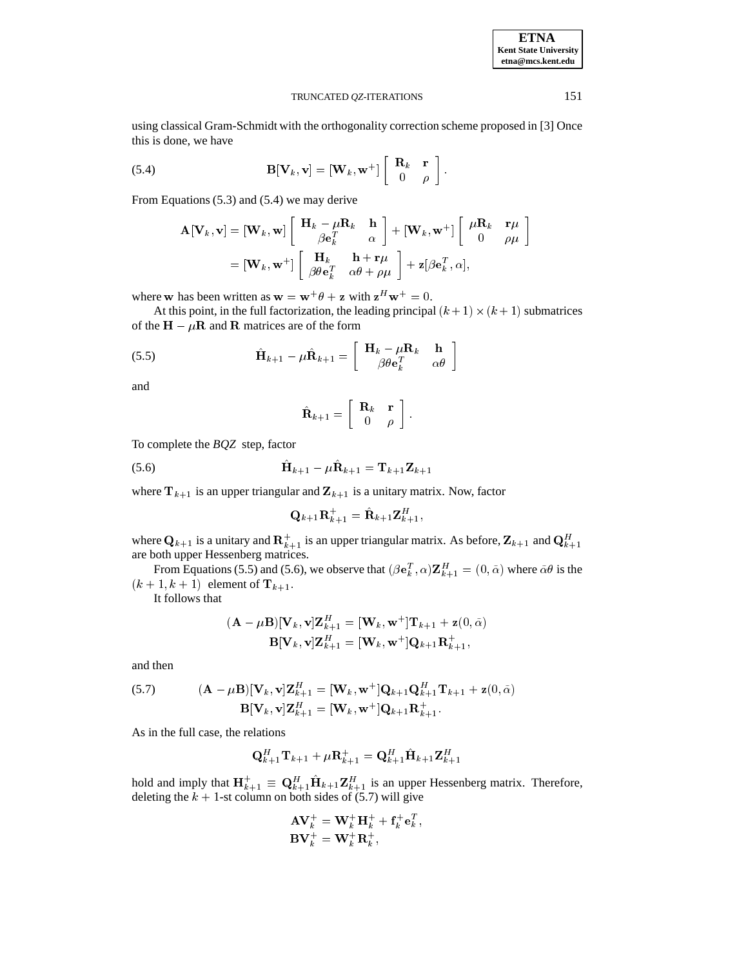**ETNA Kent State University etna@mcs.kent.edu**

#### TRUNCATED *QZ*-ITERATIONS 151

using classical Gram-Schmidt with the orthogonality correction scheme proposed in [3] Once this is done, we have

(5.4) 
$$
\mathbf{B}[\mathbf{V}_k, \mathbf{v}] = [\mathbf{W}_k, \mathbf{w}^+] \left[ \begin{array}{cc} \mathbf{R}_k & \mathbf{r} \\ 0 & \rho \end{array} \right].
$$

From Equations (5.3) and (5.4) we may derive

$$
\mathbf{A}[\mathbf{V}_k, \mathbf{v}] = [\mathbf{W}_k, \mathbf{w}] \begin{bmatrix} \mathbf{H}_k - \mu \mathbf{R}_k & \mathbf{h} \\ \beta \mathbf{e}_k^T & \alpha \end{bmatrix} + [\mathbf{W}_k, \mathbf{w}^+] \begin{bmatrix} \mu \mathbf{R}_k & \mathbf{r}\mu \\ 0 & \rho\mu \end{bmatrix}
$$
  
=  $[\mathbf{W}_k, \mathbf{w}^+] \begin{bmatrix} \mathbf{H}_k & \mathbf{h} + \mathbf{r}\mu \\ \beta \theta \mathbf{e}_k^T & \alpha \theta + \rho\mu \end{bmatrix} + \mathbf{z}[\beta \mathbf{e}_k^T, \alpha],$ 

where w has been written as  $w = w^+ \theta + z$  with  $z^H w^+ = 0$ .

At this point, in the full factorization, the leading principal  $(k + 1) \times (k + 1)$  submatrices of the  $H - \mu R$  and R matrices are of the form

(5.5) 
$$
\hat{\mathbf{H}}_{k+1} - \mu \hat{\mathbf{R}}_{k+1} = \begin{bmatrix} \mathbf{H}_k - \mu \mathbf{R}_k & \mathbf{h} \\ \beta \theta \mathbf{e}_k^T & \alpha \theta \end{bmatrix}
$$

and

$$
\hat{\mathbf{R}}_{k+1} = \left[ \begin{array}{cc} \mathbf{R}_k & \mathbf{r} \\ 0 & \rho \end{array} \right].
$$

To complete the *BQZ* step, factor

$$
\hat{\mathbf{H}}_{k+1} - \mu \hat{\mathbf{R}}_{k+1} = \mathbf{T}_{k+1} \mathbf{Z}_{k+1}
$$

where  $T_{k+1}$  is an upper triangular and  $Z_{k+1}$  is a unitary matrix. Now, factor

$$
\mathbf{Q}_{k+1}\mathbf{R}_{k+1}^{+}=\hat{\mathbf{R}}_{k+1}\mathbf{Z}_{k+1}^{H},
$$

where  $\mathbf{Q}_{k+1}$  is a unitary and  $\mathbf{R}_{k+1}^+$  is an upper triangular matrix. As before,  $\mathbf{Z}_{k+1}$  and  $\mathbf{Q}_{k+1}^H$ are both upper Hessenberg matrices.

From Equations (5.5) and (5.6), we observe that  $(\beta e_k^T, \alpha) \mathbf{Z}_{k+1}^H = (0, \tilde{\alpha})$  where  $\tilde{\alpha}\theta$  is the  $(k + 1, k + 1)$  element of  $\mathbf{T}_{k+1}$ .

It follows that

$$
(\mathbf{A} - \mu \mathbf{B})[\mathbf{V}_k, \mathbf{v}] \mathbf{Z}_{k+1}^H = [\mathbf{W}_k, \mathbf{w}^+] \mathbf{T}_{k+1} + \mathbf{z}(0, \tilde{\alpha})
$$

$$
\mathbf{B}[\mathbf{V}_k, \mathbf{v}] \mathbf{Z}_{k+1}^H = [\mathbf{W}_k, \mathbf{w}^+] \mathbf{Q}_{k+1} \mathbf{R}_{k+1}^+,
$$

and then

(5.7) 
$$
(\mathbf{A} - \mu \mathbf{B})[\mathbf{V}_k, \mathbf{v}] \mathbf{Z}_{k+1}^H = [\mathbf{W}_k, \mathbf{w}^+] \mathbf{Q}_{k+1} \mathbf{Q}_{k+1}^H \mathbf{T}_{k+1} + \mathbf{z}(0, \tilde{\alpha})
$$

$$
\mathbf{B}[\mathbf{V}_k, \mathbf{v}] \mathbf{Z}_{k+1}^H = [\mathbf{W}_k, \mathbf{w}^+] \mathbf{Q}_{k+1} \mathbf{R}_{k+1}^+.
$$

As in the full case, the relations

$$
\mathbf{Q}_{k+1}^H\mathbf{T}_{k+1} + \mu \mathbf{R}_{k+1}^+ = \mathbf{Q}_{k+1}^H\hat{\mathbf{H}}_{k+1}\mathbf{Z}_{k+1}^H
$$

hold and imply that  $\mathbf{H}_{k+1}^+ \equiv \mathbf{Q}_{k+1}^H \mathbf{H}_{k+1} \mathbf{Z}_{k+1}^H$  is an upper Hessenberg matrix. Therefore, deleting the  $k + 1$ -st column on both sides of (5.7) will give

$$
\begin{array}{l} \mathbf{A}\mathbf{V}_{k}^{+}=\mathbf{W}_{k}^{+}\mathbf{H}_{k}^{+}+\mathbf{f}_{k}^{+}\mathbf{e}_{k}^{T},\\ \mathbf{B}\mathbf{V}_{k}^{+}=\mathbf{W}_{k}^{+}\mathbf{R}_{k}^{+}, \end{array}
$$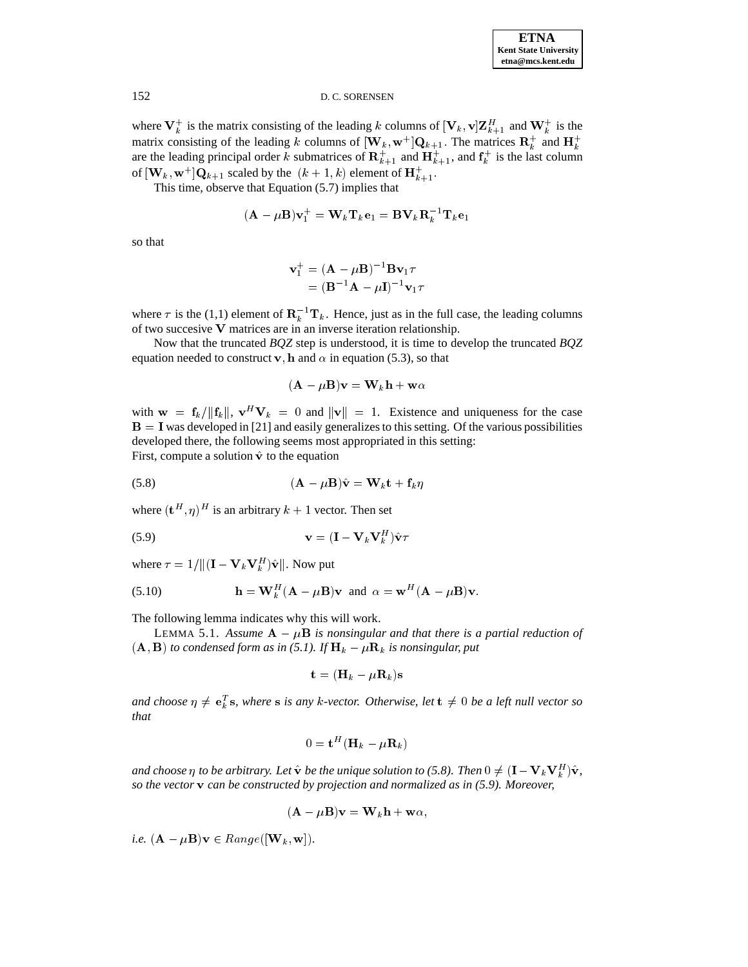where  $V_k^+$  is the matrix consisting of the leading k columns of  $[V_k, v]Z_{k+1}^H$  and  $W_k^+$  is the matrix consisting of the leading k columns of  $[\mathbf{W}_k, \mathbf{w}^+] \mathbf{Q}_{k+1}$ . The matrices  $\mathbf{R}_k^+$  and  $\mathbf{H}_k^+$ are the leading principal order k submatrices of  $\mathbf{R}_{k+1}^+$  and  $\mathbf{H}_{k+1}^+$ , and  $\mathbf{f}_k^+$  is the last column of  $[\mathbf{W}_k, \mathbf{w}^+] \mathbf{Q}_{k+1}$  scaled by the  $(k+1, k)$  element of  $\mathbf{H}_{k+1}^+$ .

This time, observe that Equation (5.7) implies that

$$
(\mathbf{A} - \mu \mathbf{B})\mathbf{v}_1^+ = \mathbf{W}_k \mathbf{T}_k \mathbf{e}_1 = \mathbf{B} \mathbf{V}_k \mathbf{R}_k^{-1} \mathbf{T}_k \mathbf{e}_1
$$

so that

$$
\mathbf{v}_{1}^{+} = (\mathbf{A} - \mu \mathbf{B})^{-1} \mathbf{B} \mathbf{v}_{1} \tau
$$

$$
= (\mathbf{B}^{-1} \mathbf{A} - \mu \mathbf{I})^{-1} \mathbf{v}_{1} \tau
$$

where  $\tau$  is the (1,1) element of  $\mathbf{R}_k^{-1} \mathbf{T}_k$ . Hence, just as in the full case, the leading columns of two succesive V matrices are in an inverse iteration relationship.

Now that the truncated *BQZ* step is understood, it is time to develop the truncated *BQZ* equation needed to construct v, h and  $\alpha$  in equation (5.3), so that

$$
(\mathbf{A} - \mu \mathbf{B})\mathbf{v} = \mathbf{W}_k \mathbf{h} + \mathbf{w}\alpha
$$

with  $\mathbf{w} = \mathbf{f}_k / ||\mathbf{f}_k||$ ,  $\mathbf{v}^H \mathbf{V}_k = 0$  and  $||\mathbf{v}|| = 1$ . Existence and uniqueness for the case  $B = I$  was developed in [21] and easily generalizes to this setting. Of the various possibilities developed there, the following seems most appropriated in this setting: First, compute a solution  $\hat{v}$  to the equation

$$
(5.8) \qquad \qquad (\mathbf{A} - \mu \mathbf{B})\hat{\mathbf{v}} = \mathbf{W}_k \mathbf{t} + \mathbf{f}_k \eta
$$

where  $(\mathbf{t}^H, \eta)^H$  is an arbitrary  $k+1$  vector. Then set

$$
\mathbf{v} = (\mathbf{I} - \mathbf{V}_k \mathbf{V}_k^H) \hat{\mathbf{v}} \tau
$$

where  $\tau = 1/\| (\mathbf{I} - \mathbf{V}_k\mathbf{V}_k^H) \hat{\mathbf{v}} \|$ . Now put

(5.10) 
$$
\mathbf{h} = \mathbf{W}_k^H (\mathbf{A} - \mu \mathbf{B}) \mathbf{v} \text{ and } \alpha = \mathbf{w}^H (\mathbf{A} - \mu \mathbf{B}) \mathbf{v}.
$$

The following lemma indicates why this will work.

LEMMA 5.1. Assume  $\mathbf{A} - \mu \mathbf{B}$  *is nonsingular and that there is a partial reduction of*  $(\mathbf{A}, \mathbf{B})$  *to condensed form as in* (5.1). If  $\mathbf{H}_k - \mu \mathbf{R}_k$  *is nonsingular, put* 

$$
\mathbf{t} = (\mathbf{H}_k - \mu \mathbf{R}_k) \mathbf{s}
$$

*and choose*  $\eta \neq e_k^T s$ , where s is any k-vector. Otherwise, let  $t \neq 0$  be a left null vector so *that*

$$
0 = \mathbf{t}^H (\mathbf{H}_k - \mu \mathbf{R}_k)
$$

and choose  $\eta$  to be arbitrary. Let  $\hat{\bf v}$  be the unique solution to (5.8). Then  $0\neq ({\bf I}-{\bf V}_k{\bf V}_k^H)\hat{\bf v}$ , *so the vector* v *can be constructed by projection and normalized as in (5.9). Moreover,*

$$
(\mathbf{A} - \mu \mathbf{B})\mathbf{v} = \mathbf{W}_k \mathbf{h} + \mathbf{w}\alpha,
$$

*i.e.*  $(\mathbf{A} - \mu \mathbf{B})\mathbf{v} \in Range([\mathbf{W}_k, \mathbf{w}]).$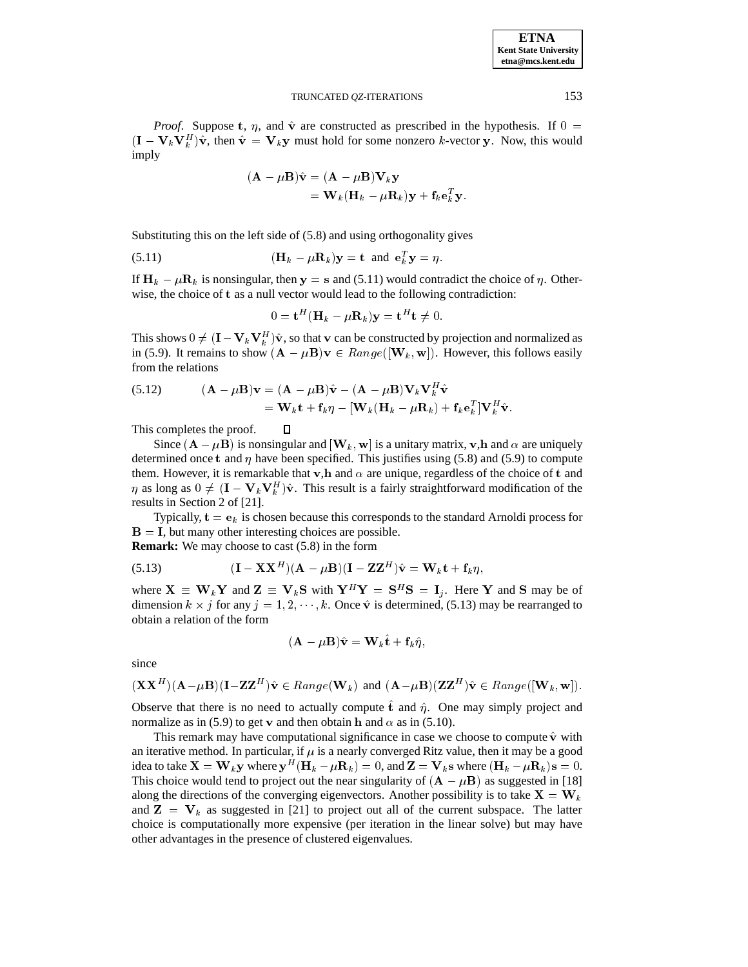*Proof.* Suppose t,  $\eta$ , and  $\hat{v}$  are constructed as prescribed in the hypothesis. If  $0 =$  $(\mathbf{I} - \mathbf{V}_k \mathbf{V}_k^H) \hat{\mathbf{v}}$ , then  $\hat{\mathbf{v}} = \mathbf{V}_k \mathbf{y}$  must hold for some nonzero k-vector y. Now, this would imply

$$
(\mathbf{A} - \mu \mathbf{B})\hat{\mathbf{v}} = (\mathbf{A} - \mu \mathbf{B})\mathbf{V}_k \mathbf{y}
$$
  
=  $\mathbf{W}_k (\mathbf{H}_k - \mu \mathbf{R}_k) \mathbf{y} + \mathbf{f}_k \mathbf{e}_k^T \mathbf{y}.$ 

Substituting this on the left side of (5.8) and using orthogonality gives

(5.11) 
$$
(\mathbf{H}_k - \mu \mathbf{R}_k) \mathbf{y} = \mathbf{t} \text{ and } \mathbf{e}_k^T \mathbf{y} = \eta.
$$

 $\Box$ 

If  $H_k - \mu R_k$  is nonsingular, then  $y = s$  and (5.11) would contradict the choice of  $\eta$ . Otherwise, the choice of t as a null vector would lead to the following contradiction:

$$
0 = \mathbf{t}^H (\mathbf{H}_k - \mu \mathbf{R}_k) \mathbf{y} = \mathbf{t}^H \mathbf{t} \neq 0.
$$

This shows  $0 \neq (I - V_k V_k^H) \hat{v}$ , so that v can be constructed by projection and normalized as in (5.9). It remains to show  $(A - \mu B)v \in Range([W_k, w])$ . However, this follows easily from the relations

(5.12) 
$$
(\mathbf{A} - \mu \mathbf{B})\mathbf{v} = (\mathbf{A} - \mu \mathbf{B})\hat{\mathbf{v}} - (\mathbf{A} - \mu \mathbf{B})\mathbf{V}_k \mathbf{V}_k^H \hat{\mathbf{v}} = \mathbf{W}_k \mathbf{t} + \mathbf{f}_k \eta - [\mathbf{W}_k (\mathbf{H}_k - \mu \mathbf{R}_k) + \mathbf{f}_k \mathbf{e}_k^T] \mathbf{V}_k^H \hat{\mathbf{v}}.
$$

This completes the proof.

Since  $(A - \mu B)$  is nonsingular and  $[W_k, w]$  is a unitary matrix, v,h and  $\alpha$  are uniquely determined once t and  $\eta$  have been specified. This justifies using (5.8) and (5.9) to compute them. However, it is remarkable that v,h and  $\alpha$  are unique, regardless of the choice of t and  $\eta$  as long as  $0 \neq (\mathbf{I} - \mathbf{V}_k \mathbf{V}_k^H) \hat{\mathbf{v}}$ . This result is a fairly straightforward modification of the results in Section 2 of [21].

Typically,  $\mathbf{t} = \mathbf{e}_k$  is chosen because this corresponds to the standard Arnoldi process for  $B = I$ , but many other interesting choices are possible. **Remark:** We may choose to cast (5.8) in the form

(5.13) 
$$
(\mathbf{I} - \mathbf{X}\mathbf{X}^{H})(\mathbf{A} - \mu \mathbf{B})(\mathbf{I} - \mathbf{Z}\mathbf{Z}^{H})\hat{\mathbf{v}} = \mathbf{W}_{k}\mathbf{t} + \mathbf{f}_{k}\eta,
$$

where  $X \equiv W_k Y$  and  $Z \equiv V_k S$  with  $Y^H Y = S^H S = I_i$ . Here Y and S may be of dimension  $k \times j$  for any  $j = 1, 2, \dots, k$ . Once  $\hat{\mathbf{v}}$  is determined, (5.13) may be rearranged to obtain a relation of the form

$$
(\mathbf{A} - \mu \mathbf{B})\hat{\mathbf{v}} = \mathbf{W}_k \hat{\mathbf{t}} + \mathbf{f}_k \hat{\eta},
$$

since

$$
(\mathbf{XX}^H)(\mathbf{A} - \mu \mathbf{B})(\mathbf{I} - \mathbf{ZZ}^H)\hat{\mathbf{v}} \in Range(\mathbf{W}_k) \text{ and } (\mathbf{A} - \mu \mathbf{B})(\mathbf{ZZ}^H)\hat{\mathbf{v}} \in Range([\mathbf{W}_k, \mathbf{w}]).
$$

Observe that there is no need to actually compute  $\hat{t}$  and  $\hat{\eta}$ . One may simply project and normalize as in (5.9) to get v and then obtain h and  $\alpha$  as in (5.10).

This remark may have computational significance in case we choose to compute  $\hat{v}$  with an iterative method. In particular, if  $\mu$  is a nearly converged Ritz value, then it may be a good idea to take  $\mathbf{X} = \mathbf{W}_k \mathbf{y}$  where  $\mathbf{y}^H (\mathbf{H}_k - \mu \mathbf{R}_k) = 0$ , and  $\mathbf{Z} = \mathbf{V}_k \mathbf{s}$  where  $(\mathbf{H}_k - \mu \mathbf{R}_k) \mathbf{s} = 0$ . This choice would tend to project out the near singularity of  $(A - \mu B)$  as suggested in [18] along the directions of the converging eigenvectors. Another possibility is to take  $X = W_k$ and  $\mathbf{Z} = \mathbf{V}_k$  as suggested in [21] to project out all of the current subspace. The latter choice is computationally more expensive (per iteration in the linear solve) but may have other advantages in the presence of clustered eigenvalues.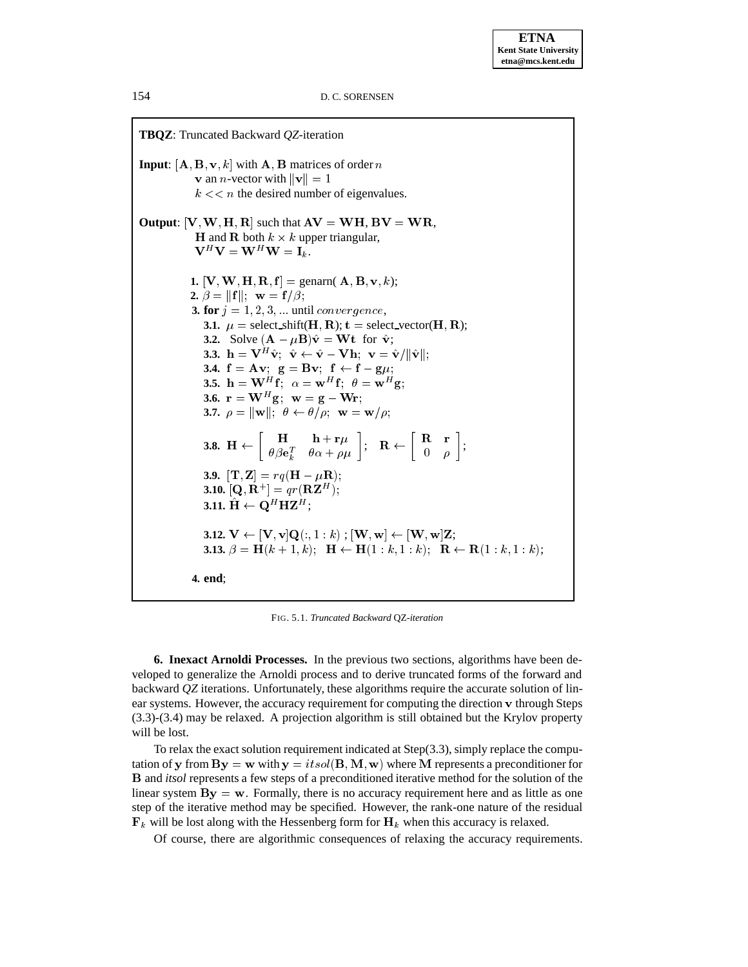

FIG. 5.1. *Truncated Backward* QZ*-iteration*

**6. Inexact Arnoldi Processes.** In the previous two sections, algorithms have been developed to generalize the Arnoldi process and to derive truncated forms of the forward and backward *QZ* iterations. Unfortunately, these algorithms require the accurate solution of linear systems. However, the accuracy requirement for computing the direction <sup>v</sup> through Steps (3.3)-(3.4) may be relaxed. A projection algorithm is still obtained but the Krylov property will be lost.

To relax the exact solution requirement indicated at Step(3.3), simply replace the computation of y from  $\mathbf{By} = \mathbf{w}$  with  $\mathbf{y} = itsol(\mathbf{B}, \mathbf{M}, \mathbf{w})$  where M represents a preconditioner for B and *itsol* represents a few steps of a preconditioned iterative method for the solution of the linear system  $\mathbf{By} = \mathbf{w}$ . Formally, there is no accuracy requirement here and as little as one step of the iterative method may be specified. However, the rank-one nature of the residual  $\mathbf{F}_k$  will be lost along with the Hessenberg form for  $\mathbf{H}_k$  when this accuracy is relaxed.

Of course, there are algorithmic consequences of relaxing the accuracy requirements.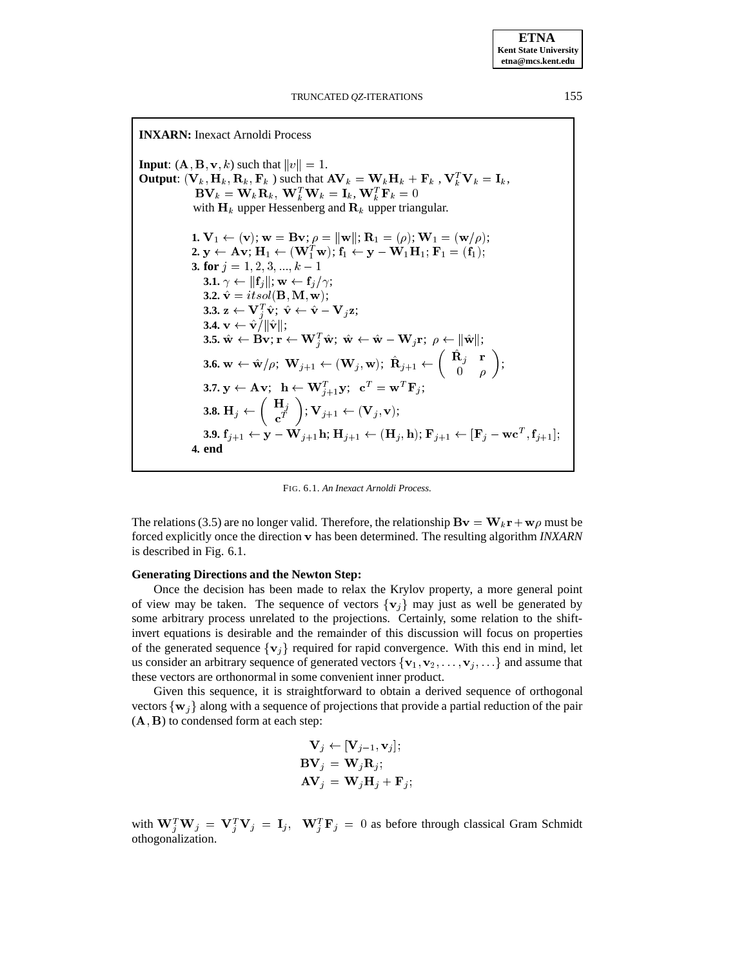**INXARN:** Inexact Arnoldi Process **Input**:  $(A, B, v, k)$  such that  $||v|| = 1$ . **Output:**  $(\mathbf{V}_k, \mathbf{H}_k, \mathbf{R}_k, \mathbf{F}_k)$  such that  $A\mathbf{V}_k = \mathbf{W}_k\mathbf{H}_k + \mathbf{F}_k$ ,  $\mathbf{V}_k^T\mathbf{V}_k = \mathbf{I}_k$ ,  $\mathbf{BV}_k = \mathbf{W}_k \mathbf{R}_k, \ \mathbf{W}_k^T \mathbf{W}_k = \mathbf{I}_k, \mathbf{W}_k^T \mathbf{F}_k = 0$ with  $H_k$  upper Hessenberg and  $R_k$  upper triangular. **1.**  $\mathbf{V}_1 \leftarrow (\mathbf{v}); \mathbf{w} = \mathbf{B}\mathbf{v}; \rho = ||\mathbf{w}||; \mathbf{R}_1 = (\rho); \mathbf{W}_1 = (\mathbf{w}/\rho);$  $\mathbf{2.} \ \mathbf{y} \leftarrow \mathbf{A} \mathbf{v}; \ \mathbf{H}_1 \leftarrow (\mathbf{W}_1^T \mathbf{w}); \ \mathbf{f}_1 \leftarrow \mathbf{y} - \mathbf{W}_1 \mathbf{H}_1; \ \mathbf{F}_1 = (\mathbf{f}_1);$ **3. for**  $j = 1, 2, 3, ..., k - 1$ **3.1.**  $\gamma \leftarrow ||\mathbf{f}_j||; \mathbf{w} \leftarrow \mathbf{f}_j/\gamma;$ **3.2.**  $\hat{\mathbf{v}} = itsol(\mathbf{B}, \mathbf{M}, \mathbf{w});$ **3.3.**  $\mathbf{z} \leftarrow \mathbf{V}_j^T \hat{\mathbf{v}}; \ \hat{\mathbf{v}} \leftarrow \hat{\mathbf{v}} - \mathbf{V}_j \mathbf{z};$ **3.4.**  $\mathbf{v} \leftarrow \hat{\mathbf{v}}^{\prime}/\|\hat{\mathbf{v}}\|;$  ${\bf 3.5.} \text{ }\hat{\bf w}\leftarrow\bf{Bv}; \text{ }r\leftarrow\textbf{W}_j^T\hat{\bf w}; \text{ }\hat{\bf w}\leftarrow\hat{\bf w}-\textbf{W}_j\textbf{r}; \text{ }\rho\leftarrow \|\hat{\bf w}\|;$ **3.6.**  $\mathbf{w} \leftarrow \hat{\mathbf{w}}/\rho; \ \mathbf{W}_{j+1} \leftarrow (\mathbf{W}_{j}, \mathbf{w}); \ \mathbf{R}_{j+1} \leftarrow \begin{pmatrix} \mathbf{R}_{j} & \mathbf{I} \\ 0 & \mathbf{I} \end{pmatrix};$  $\left(\begin{array}{cc} \hat{\mathbf{R}}_i & \mathbf{r} \end{array}\right)$  $\begin{pmatrix} \hat{\mathbf{R}}_j & \mathbf{r} \\ 0 & \rho \end{pmatrix};$  $\mathbf{3.7.} \ \mathbf{y} \leftarrow \mathbf{A} \ \mathbf{v}; \ \ \mathbf{h} \leftarrow \mathbf{W}_{j+1}^T \mathbf{y}; \ \ \mathbf{c}^T = \mathbf{w}^T \mathbf{F}_j;$  $\mathbf{3.8.} \ \mathbf{H}_{j} \leftarrow \left( \begin{array}{c} \mathbf{H}_{j} \ \mathbf{c}^{T} \end{array} \right); \ \mathbf{V}_{j+1} \leftarrow (\mathbf{V}_{j}, \mathbf{v});$ **3.9.**  $\mathbf{f}_{j+1} \leftarrow \mathbf{y} - \mathbf{W}_{j+1}\mathbf{h}; \mathbf{H}_{j+1} \leftarrow (\mathbf{H}_{j}, \mathbf{h}); \mathbf{F}_{j+1} \leftarrow [\mathbf{F}_{j} - \mathbf{wc}^T, \mathbf{f}_{j+1}];$ **4. end**

FIG. 6.1. *An Inexact Arnoldi Process.*

The relations (3.5) are no longer valid. Therefore, the relationship  $\mathbf{B}\mathbf{v} = \mathbf{W}_k \mathbf{r} + \mathbf{w}\rho$  must be forced explicitly once the direction v has been determined. The resulting algorithm *INXARN* is described in Fig. 6.1.

#### **Generating Directions and the Newton Step:**

Once the decision has been made to relax the Krylov property, a more general point of view may be taken. The sequence of vectors  $\{v_j\}$  may just as well be generated by some arbitrary process unrelated to the projections. Certainly, some relation to the shiftinvert equations is desirable and the remainder of this discussion will focus on properties of the generated sequence  $\{v_j\}$  required for rapid convergence. With this end in mind, let us consider an arbitrary sequence of generated vectors  $\{v_1, v_2, \ldots, v_j, \ldots\}$  and assume that these vectors are orthonormal in some convenient inner product.

Given this sequence, it is straightforward to obtain a derived sequence of orthogonal vectors  $\{w_i\}$  along with a sequence of projections that provide a partial reduction of the pair  $(A, B)$  to condensed form at each step:

$$
\mathbf{V}_{j} \leftarrow [\mathbf{V}_{j-1}, \mathbf{v}_{j}];
$$
  
\n
$$
\mathbf{BV}_{j} = \mathbf{W}_{j} \mathbf{R}_{j};
$$
  
\n
$$
\mathbf{AV}_{j} = \mathbf{W}_{j} \mathbf{H}_{j} + \mathbf{F}_{j};
$$

with  $W_j^T W_j = V_j^T V_j = I_j$ ,  $W_j^T F_j = 0$  as before through classical Gram Schmidt othogonalization.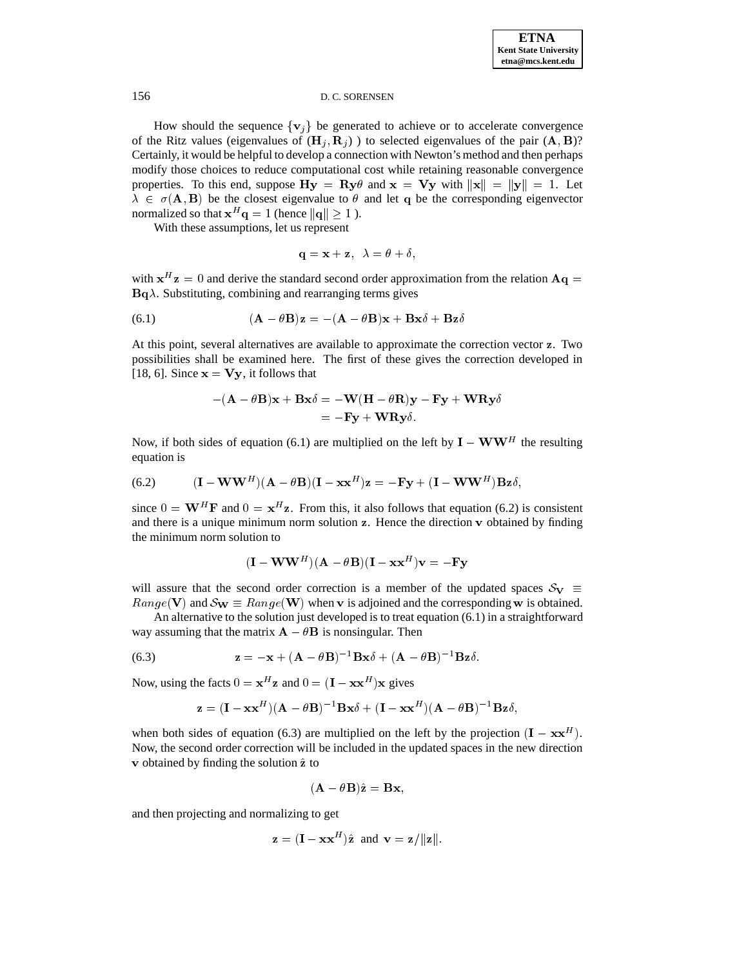How should the sequence  $\{v_j\}$  be generated to achieve or to accelerate convergence of the Ritz values (eigenvalues of  $(\mathbf{H}_i, \mathbf{R}_i)$ ) to selected eigenvalues of the pair  $(\mathbf{A}, \mathbf{B})$ ? Certainly, it would be helpful to develop a connection with Newton's method and then perhaps modify those choices to reduce computational cost while retaining reasonable convergence properties. To this end, suppose  $\mathbf{H}\mathbf{y} = \mathbf{R}\mathbf{y}\theta$  and  $\mathbf{x} = \mathbf{V}\mathbf{y}$  with  $\|\mathbf{x}\| = \|\mathbf{y}\| = 1$ . Let  $\lambda \in \sigma(A, B)$  be the closest eigenvalue to  $\theta$  and let q be the corresponding eigenvector normalized so that  $x^H q = 1$  (hence  $||q|| \ge 1$ ).

With these assumptions, let us represent

$$
\mathbf{q} = \mathbf{x} + \mathbf{z}, \ \ \lambda = \theta + \delta,
$$

with  $x^H z = 0$  and derive the standard second order approximation from the relation  $Aq =$  $\mathbf{Bq}\lambda$ . Substituting, combining and rearranging terms gives

(6.1) 
$$
(\mathbf{A} - \theta \mathbf{B})\mathbf{z} = -(\mathbf{A} - \theta \mathbf{B})\mathbf{x} + \mathbf{B}\mathbf{x}\delta + \mathbf{B}\mathbf{z}\delta
$$

At this point, several alternatives are available to approximate the correction vector z. Two possibilities shall be examined here. The first of these gives the correction developed in [18, 6]. Since  $x = Vy$ , it follows that

$$
-(\mathbf{A} - \theta \mathbf{B})\mathbf{x} + \mathbf{B}\mathbf{x}\delta = -\mathbf{W}(\mathbf{H} - \theta \mathbf{R})\mathbf{y} - \mathbf{F}\mathbf{y} + \mathbf{W}\mathbf{R}\mathbf{y}\delta
$$
  
=  $-\mathbf{F}\mathbf{y} + \mathbf{W}\mathbf{R}\mathbf{y}\delta$ .

Now, if both sides of equation (6.1) are multiplied on the left by  $I - WW^H$  the resulting equation is

(6.2) 
$$
(\mathbf{I} - \mathbf{W}\mathbf{W}^{H})(\mathbf{A} - \theta \mathbf{B})(\mathbf{I} - \mathbf{x}\mathbf{x}^{H})\mathbf{z} = -\mathbf{F}\mathbf{y} + (\mathbf{I} - \mathbf{W}\mathbf{W}^{H})\mathbf{B}\mathbf{z}\delta,
$$

since  $0 = \mathbf{W}^H \mathbf{F}$  and  $0 = \mathbf{x}^H \mathbf{z}$ . From this, it also follows that equation (6.2) is consistent and there is a unique minimum norm solution  $z$ . Hence the direction  $v$  obtained by finding the minimum norm solution to

$$
(\mathbf{I} - \mathbf{W}\mathbf{W}^H)(\mathbf{A} - \theta \mathbf{B})(\mathbf{I} - \mathbf{x}\mathbf{x}^H)\mathbf{v} = -\mathbf{F}\mathbf{y}
$$

will assure that the second order correction is a member of the updated spaces  $S_V \equiv$  $Range(V)$  and  $\mathcal{S}_{W} \equiv Range(W)$  when v is adjoined and the corresponding w is obtained.

An alternative to the solution just developed is to treat equation (6.1) in a straightforward way assuming that the matrix  $\mathbf{A} - \theta \mathbf{B}$  is nonsingular. Then

(6.3) 
$$
\mathbf{z} = -\mathbf{x} + (\mathbf{A} - \theta \mathbf{B})^{-1} \mathbf{B} \mathbf{x} \delta + (\mathbf{A} - \theta \mathbf{B})^{-1} \mathbf{B} \mathbf{z} \delta.
$$

Now, using the facts  $0 = x^H z$  and  $0 = (I - x^H) x$  gives

$$
\mathbf{z} = (\mathbf{I} - \mathbf{x}\mathbf{x}^H)(\mathbf{A} - \theta\mathbf{B})^{-1}\mathbf{B}\mathbf{x}\delta + (\mathbf{I} - \mathbf{x}\mathbf{x}^H)(\mathbf{A} - \theta\mathbf{B})^{-1}\mathbf{B}\mathbf{z}\delta,
$$

when both sides of equation (6.3) are multiplied on the left by the projection  $(I - xx^H)$ . Now, the second order correction will be included in the updated spaces in the new direction  $\bf{v}$  obtained by finding the solution  $\hat{\bf{z}}$  to

$$
(\mathbf{A} - \theta \mathbf{B})\hat{\mathbf{z}} = \mathbf{B}\mathbf{x},
$$

and then projecting and normalizing to get

$$
\mathbf{z} = (\mathbf{I} - \mathbf{x}\mathbf{x}^H)\hat{\mathbf{z}} \text{ and } \mathbf{v} = \mathbf{z}/\|\mathbf{z}\|.
$$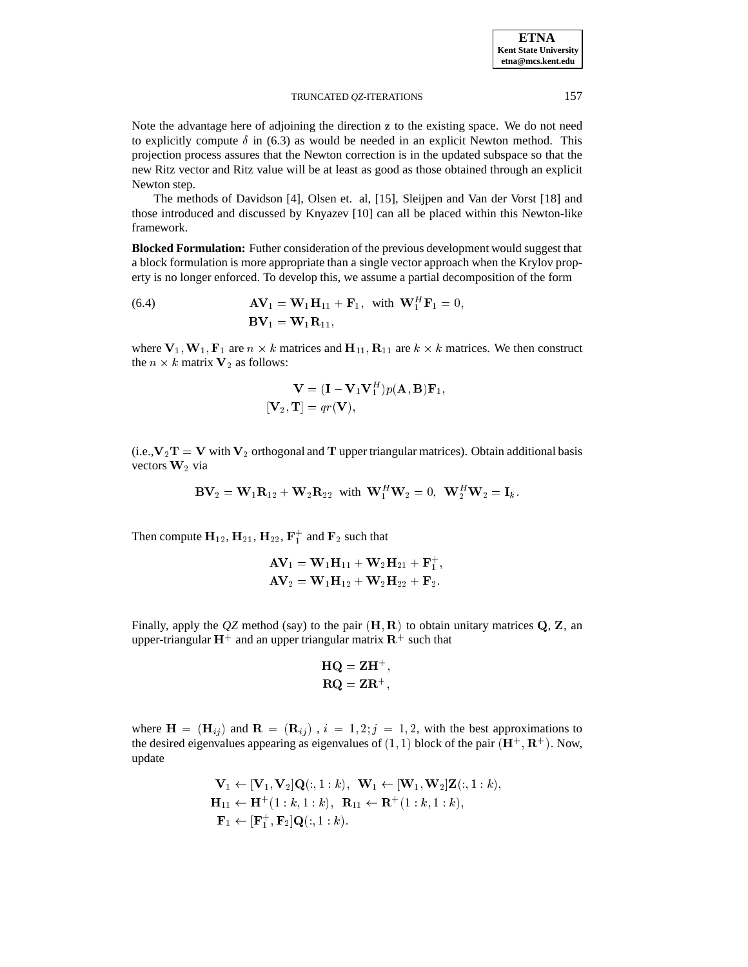Note the advantage here of adjoining the direction z to the existing space. We do not need to explicitly compute  $\delta$  in (6.3) as would be needed in an explicit Newton method. This projection process assures that the Newton correction is in the updated subspace so that the new Ritz vector and Ritz value will be at least as good as those obtained through an explicit Newton step.

The methods of Davidson [4], Olsen et. al, [15], Sleijpen and Van der Vorst [18] and those introduced and discussed by Knyazev [10] can all be placed within this Newton-like framework.

**Blocked Formulation:** Futher consideration of the previous development would suggest that a block formulation is more appropriate than a single vector approach when the Krylov property is no longer enforced. To develop this, we assume a partial decomposition of the form

(6.4) 
$$
\mathbf{A}\mathbf{V}_1 = \mathbf{W}_1\mathbf{H}_{11} + \mathbf{F}_1, \text{ with } \mathbf{W}_1^H\mathbf{F}_1 = 0,
$$

$$
\mathbf{B}\mathbf{V}_1 = \mathbf{W}_1\mathbf{R}_{11},
$$

where  $V_1, W_1, F_1$  are  $n \times k$  matrices and  $H_{11}, R_{11}$  are  $k \times k$  matrices. We then construct the  $n \times k$  matrix  $V_2$  as follows:

$$
\mathbf{V} = (\mathbf{I} - \mathbf{V}_1 \mathbf{V}_1^H) p(\mathbf{A}, \mathbf{B}) \mathbf{F}_1,
$$
  
[**V**<sub>2</sub>, **T**] =  $qr(\mathbf{V})$ ,

(i.e.,  $V_2T = V$  with  $V_2$  orthogonal and T upper triangular matrices). Obtain additional basis vectors  $W_2$  via

$$
\mathbf{BV}_2=\mathbf{W}_1\mathbf{R}_{12}+\mathbf{W}_2\mathbf{R}_{22}\ \ \text{with}\ \ \mathbf{W}_1^H\mathbf{W}_2=0,\ \ \mathbf{W}_2^H\mathbf{W}_2=\mathbf{I}_k.
$$

Then compute  $H_{12}$ ,  $H_{21}$ ,  $H_{22}$ ,  $F_1^+$  and  $F_2$  such that

$$
\begin{aligned} \mathbf{AV}_1 &= \mathbf{W}_1 \mathbf{H}_{11} + \mathbf{W}_2 \mathbf{H}_{21} + \mathbf{F}_1^+, \\ \mathbf{AV}_2 &= \mathbf{W}_1 \mathbf{H}_{12} + \mathbf{W}_2 \mathbf{H}_{22} + \mathbf{F}_2. \end{aligned}
$$

Finally, apply the  $QZ$  method (say) to the pair  $(H, R)$  to obtain unitary matrices  $Q$ ,  $Z$ , an upper-triangular  $H^+$  and an upper triangular matrix  $R^+$  such that

$$
HQ = ZH^{+},
$$
  

$$
RQ = ZR^{+},
$$

;

;

where  $\mathbf{H} = (\mathbf{H}_{ij})$  and  $\mathbf{R} = (\mathbf{R}_{ij})$ ,  $i = 1, 2; j = 1, 2$ , with the best approximations to the desired eigenvalues appearing as eigenvalues of  $(1,1)$  block of the pair  $(\mathbf{H}^+, \mathbf{R}^+)$ . Now, update

$$
\mathbf{V}_1 \leftarrow [\mathbf{V}_1, \mathbf{V}_2] \mathbf{Q}(:,1:k), \quad \mathbf{W}_1 \leftarrow [\mathbf{W}_1, \mathbf{W}_2] \mathbf{Z}(:,1:k), \n\mathbf{H}_{11} \leftarrow \mathbf{H}^+(1:k,1:k), \quad \mathbf{R}_{11} \leftarrow \mathbf{R}^+(1:k,1:k), \n\mathbf{F}_1 \leftarrow [\mathbf{F}_1^+, \mathbf{F}_2] \mathbf{Q}(:,1:k).
$$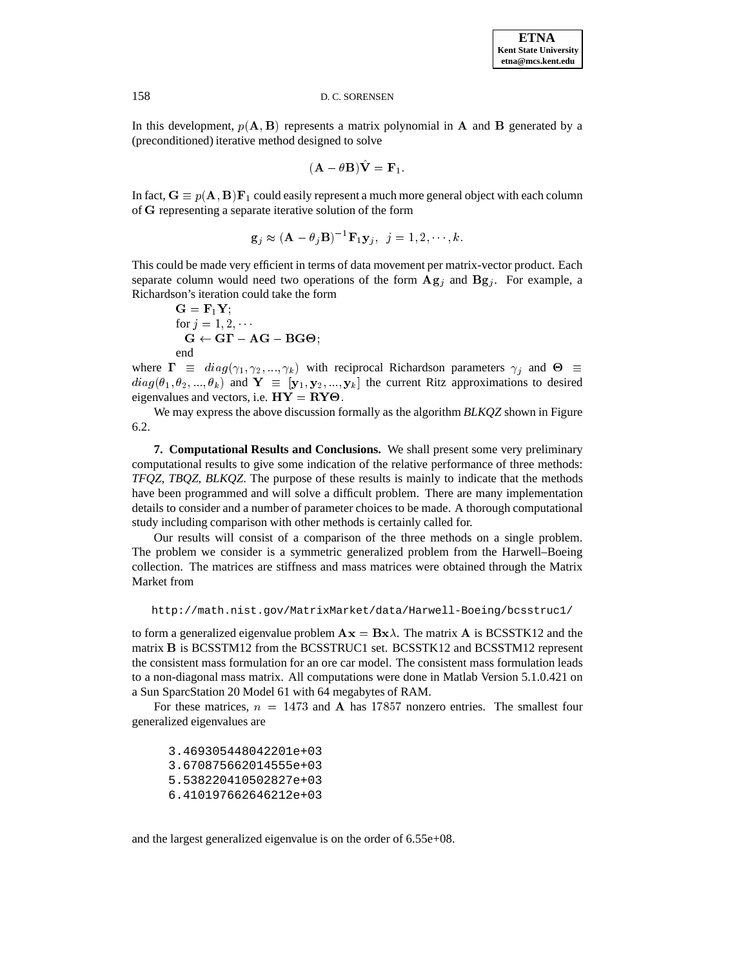In this development,  $p(A, B)$  represents a matrix polynomial in A and B generated by a (preconditioned) iterative method designed to solve

$$
(\mathbf{A} - \theta \mathbf{B})\hat{\mathbf{V}} = \mathbf{F}_1.
$$

In fact,  $G \equiv p(A, B)F_1$  could easily represent a much more general object with each column of G representing a separate iterative solution of the form

$$
\mathbf{g}_j \approx (\mathbf{A} - \theta_j \mathbf{B})^{-1} \mathbf{F}_1 \mathbf{y}_j, \ \ j = 1, 2, \cdots, k.
$$

This could be made very efficient in terms of data movement per matrix-vector product. Each separate column would need two operations of the form  $\mathbf{Ag}_j$  and  $\mathbf{Bg}_j$ . For example, a Richardson's iteration could take the form

$$
G = F_1 Y;\nfor j = 1, 2, ...\nG \leftarrow GT - AG - BG\Theta;\nend
$$

where  $\Gamma \equiv diag(\gamma_1, \gamma_2, ..., \gamma_k)$  with reciprocal Richardson parameters  $\gamma_j$  and  $\Theta \equiv$  $diag(\theta_1, \theta_2, ..., \theta_k)$  and  $\mathbf{Y} \equiv [\mathbf{y}_1, \mathbf{y}_2, ..., \mathbf{y}_k]$  the current Ritz approximations to desired eigenvalues and vectors, i.e.  $HY = RY\Theta$ .

We may express the above discussion formally as the algorithm *BLKQZ* shown in Figure 6.2.

**7. Computational Results and Conclusions.** We shall present some very preliminary computational results to give some indication of the relative performance of three methods: *TFQZ*, *TBQZ*, *BLKQZ*. The purpose of these results is mainly to indicate that the methods have been programmed and will solve a difficult problem. There are many implementation details to consider and a number of parameter choices to be made. A thorough computational study including comparison with other methods is certainly called for.

Our results will consist of a comparison of the three methods on a single problem. The problem we consider is a symmetric generalized problem from the Harwell–Boeing collection. The matrices are stiffness and mass matrices were obtained through the Matrix Market from

```
http://math.nist.gov/MatrixMarket/data/Harwell-Boeing/bcsstruc1/
```
to form a generalized eigenvalue problem  $\mathbf{A}\mathbf{x} = \mathbf{B}\mathbf{x}\lambda$ . The matrix  $\mathbf{A}$  is BCSSTK12 and the matrix <sup>B</sup> is BCSSTM12 from the BCSSTRUC1 set. BCSSTK12 and BCSSTM12 represent the consistent mass formulation for an ore car model. The consistent mass formulation leads to a non-diagonal mass matrix. All computations were done in Matlab Version 5.1.0.421 on a Sun SparcStation 20 Model 61 with 64 megabytes of RAM.

For these matrices,  $n = 1473$  and A has 17857 nonzero entries. The smallest four generalized eigenvalues are

3.469305448042201e+03 3.670875662014555e+03 5.538220410502827e+03 6.410197662646212e+03

and the largest generalized eigenvalue is on the order of 6.55e+08.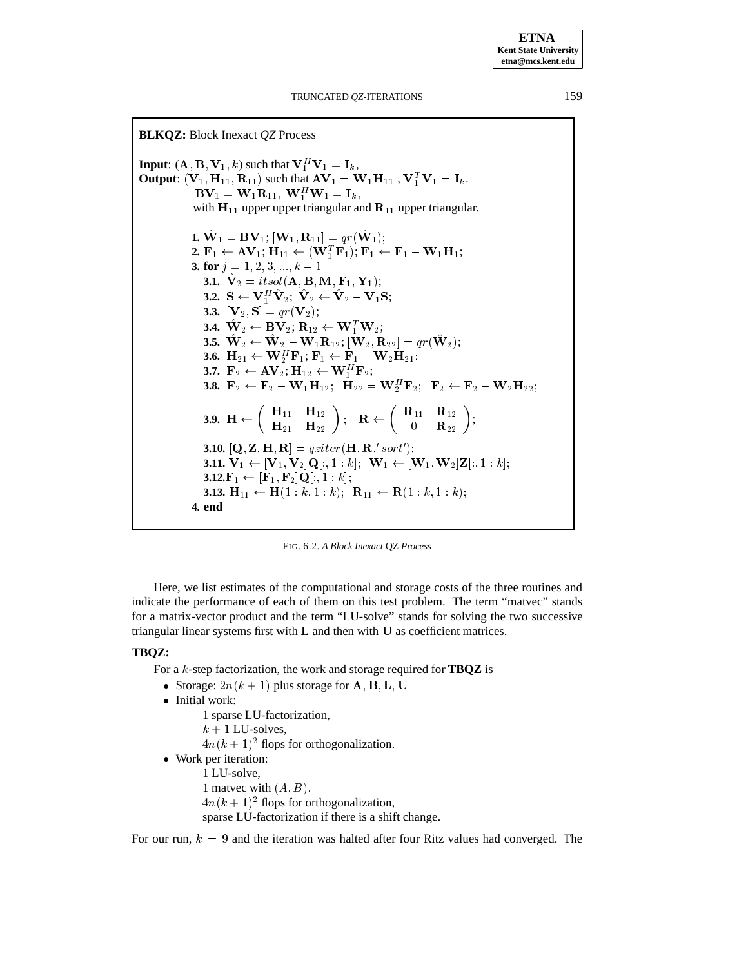**BLKQZ:** Block Inexact *QZ* Process **Input**:  $(A, B, V_1, k)$  such that  $V_1^H V_1 = I_k$ , **Output**:  $(\mathbf{V}_1, \mathbf{H}_{11}, \mathbf{R}_{11})$  such that  $\mathbf{AV}_1 = \mathbf{W}_1 \mathbf{H}_{11}$  ,  $\mathbf{V}_1^T \mathbf{V}_1 = \mathbf{I}_k$ .  ${\bf D} {\bf v}_1 = {\bf v} {\bf v}_1 {\bf n}_{11}, \; {\bf v} {\bf v}_1^{\top} {\bf v} {\bf v}_1 = {\bf I}_k,$ with  $H_{11}$  upper upper triangular and  $R_{11}$  upper triangular. **1.**  $\mathbf{W}_1 = \mathbf{BV}_1; [\mathbf{W}_1, \mathbf{R}_{11}] = qr(\mathbf{W}_1);$ 2.  $\mathbf{F}_1 \leftarrow \mathbf{A} \mathbf{V}_1; \mathbf{H}_{11} \leftarrow (\mathbf{W}_1^T \mathbf{F}_1); \mathbf{F}_1 \leftarrow \mathbf{F}_1 - \mathbf{W}_1 \mathbf{H}_1;$ **3. for**  $j = 1, 2, 3, ..., k - 1$ **3.1.**  $\mathbf{V}_2 = itsol(\mathbf{A}, \mathbf{B}, \mathbf{M}, \mathbf{F}_1, \mathbf{Y}_1);$ **3.2.**  $S \leftarrow V^H_1V_2; V_2 \leftarrow V_2 - V_1S;$ **3.3.**  $[\mathbf{V}_2, \mathbf{S}] = qr(\mathbf{V}_2);$ **3.4.**  $\mathbf{W}_2 \leftarrow \mathbf{BV}_2; \mathbf{R}_{12} \leftarrow \mathbf{W}_1^T \mathbf{W}_2;$ **3.5.**  $\mathbf{\hat{W}}_2 \leftarrow \mathbf{\hat{W}}_2 - \mathbf{W}_1\mathbf{R}_{12}; [\mathbf{W}_2, \mathbf{R}_{22}] = qr(\mathbf{W}_2);$ **3.6.**  $\mathbf{H}_{21} \leftarrow \mathbf{W}_2^H \mathbf{F}_1; \mathbf{F}_1 \leftarrow \mathbf{F}_1 - \mathbf{W}_2 \mathbf{H}_{21};$ **3.7.**  $\mathbf{F}_2 \leftarrow \mathbf{AV}_2; \mathbf{H}_{12} \leftarrow \mathbf{W}_1^H \mathbf{F}_2;$ **3.8.**  $\mathbf{F}_2 \leftarrow \mathbf{F}_2 - \mathbf{W}_1 \mathbf{H}_{12}; \ \ \mathbf{H}_{22} = \mathbf{W}_2^H \mathbf{F}_2; \ \ \mathbf{F}_2 \leftarrow \mathbf{F}_2 - \mathbf{W}_2 \mathbf{H}_{22};$  $\mathbf{3.9.} \ \ \mathbf{H} \leftarrow \left( \begin{array}{cc} \mathbf{H}_{11} & \mathbf{H}_{12} \ \mathbf{H}_{21} & \mathbf{H}_{22} \end{array} \right); \quad \mathbf{R} \leftarrow \left( \begin{array}{cc} \mathbf{R}_{11} & \mathbf{R}_{12} \ 0 & \mathbf{R}_{22} \end{array} \right);$  $\left( \begin{array}{cc} {\bf R}_{11} & {\bf R}_{12} \ 0 & {\bf R}_{22} \end{array} \right);$ **3.10.**  $[\mathbf{Q}, \mathbf{Z}, \mathbf{H}, \mathbf{R}] =$   $qziter(\mathbf{H}, \mathbf{R}, 'sort')$ ; **3.11.**  $V_1 \leftarrow [V_1, V_2] Q[:, 1 : k]; \quad W_1 \leftarrow [W_1, W_2] Z[:, 1 : k];$ **3.12.**F<sub>1</sub>  $\leftarrow$  [F<sub>1</sub>, F<sub>2</sub>]Q[:, 1 : k]; **3.13.**  $H_{11} \leftarrow H(1 : k, 1 : k); \quad R_{11} \leftarrow R(1 : k, 1 : k);$ **4. end**

FIG. 6.2. *A Block Inexact* QZ *Process*

Here, we list estimates of the computational and storage costs of the three routines and indicate the performance of each of them on this test problem. The term "matvec" stands for a matrix-vector product and the term "LU-solve" stands for solving the two successive triangular linear systems first with L and then with U as coefficient matrices.

# **TBQZ:**

For a <sup>k</sup>-step factorization, the work and storage required for **TBQZ** is

- Storage:  $2n(k + 1)$  plus storage for  $\bf{A}, \bf{B}, \bf{L}, \bf{U}$
- Initial work:
	- 1 sparse LU-factorization,
		- $k + 1$  LU-solves,
		- $4n(k+1)^2$  flops for orthogonalization.
- Work per iteration:

1 LU-solve,

1 matvec with  $(A, B)$ ,

 $4n(k+1)^2$  flops for orthogonalization,

sparse LU-factorization if there is a shift change.

For our run,  $k = 9$  and the iteration was halted after four Ritz values had converged. The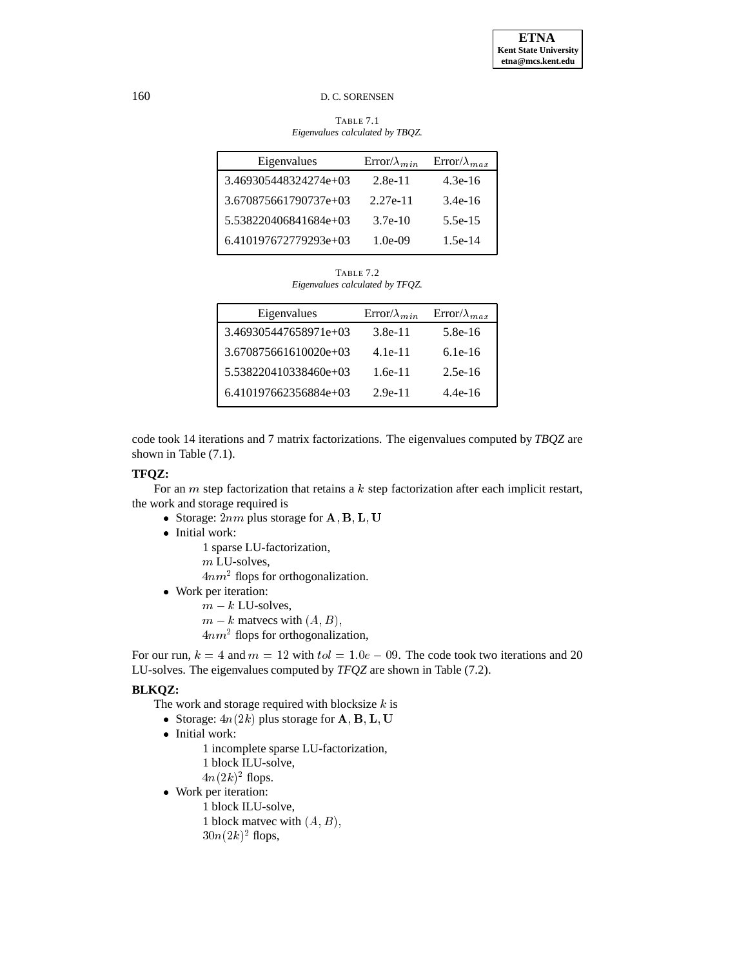TABLE 7.1 *Eigenvalues calculated by TBQZ.*

| Eigenvalues           | $Error/\lambda_{min}$ | $Error/\lambda_{max}$ |
|-----------------------|-----------------------|-----------------------|
| 3.469305448324274e+03 | $2.8e-11$             | $4.3e-16$             |
| 3.670875661790737e+03 | $2.27e-11$            | $3.4e-16$             |
| 5.538220406841684e+03 | $3.7e-10$             | $5.5e-15$             |
| 6.410197672779293e+03 | $1.0e-09$             | $1.5e-14$             |

TABLE 7.2 *Eigenvalues calculated by TFQZ.*

| Eigenvalues           | $Error/\lambda_{min}$ | $Error/\lambda_{max}$ |
|-----------------------|-----------------------|-----------------------|
| 3.469305447658971e+03 | $3.8e-11$             | $5.8e-16$             |
| 3.670875661610020e+03 | $4.1e-11$             | $6.1e-16$             |
| 5.538220410338460e+03 | $1.6e-11$             | $2.5e-16$             |
| 6.410197662356884e+03 | $2.9e-11$             | $4.4e-16$             |

code took 14 iterations and 7 matrix factorizations. The eigenvalues computed by *TBQZ* are shown in Table (7.1).

# **TFQZ:**

For an m step factorization that retains a k step factorization after each implicit restart, the work and storage required is

- Storage:  $2nm$  plus storage for  $\mathbf{A}, \mathbf{B}, \mathbf{L}, \mathbf{U}$
- Initial work:

1 sparse LU-factorization, m LU-solves,  $4nm<sup>2</sup>$  flops for orthogonalization. Work per iteration:

 $m - k$  LU-solves,

 $m - k$  matvecs with  $(A, B)$ ,

 $4nm<sup>2</sup>$  flops for orthogonalization,

For our run,  $k = 4$  and  $m = 12$  with  $tol = 1.0e - 0.01$ . The code took two iterations and 20 LU-solves. The eigenvalues computed by *TFQZ* are shown in Table (7.2).

# **BLKQZ:**

The work and storage required with blocksize  $k$  is

- Storage:  $4n(2k)$  plus storage for  $\mathbf{A}, \mathbf{B}, \mathbf{L}, \mathbf{U}$
- Initial work:
	- 1 incomplete sparse LU-factorization, 1 block ILU-solve,  $4n(2k)^2$  flops.
- Work per iteration:
	- 1 block ILU-solve, 1 block matvec with  $(A, B)$ ,  $30n(2k)^2$  flops,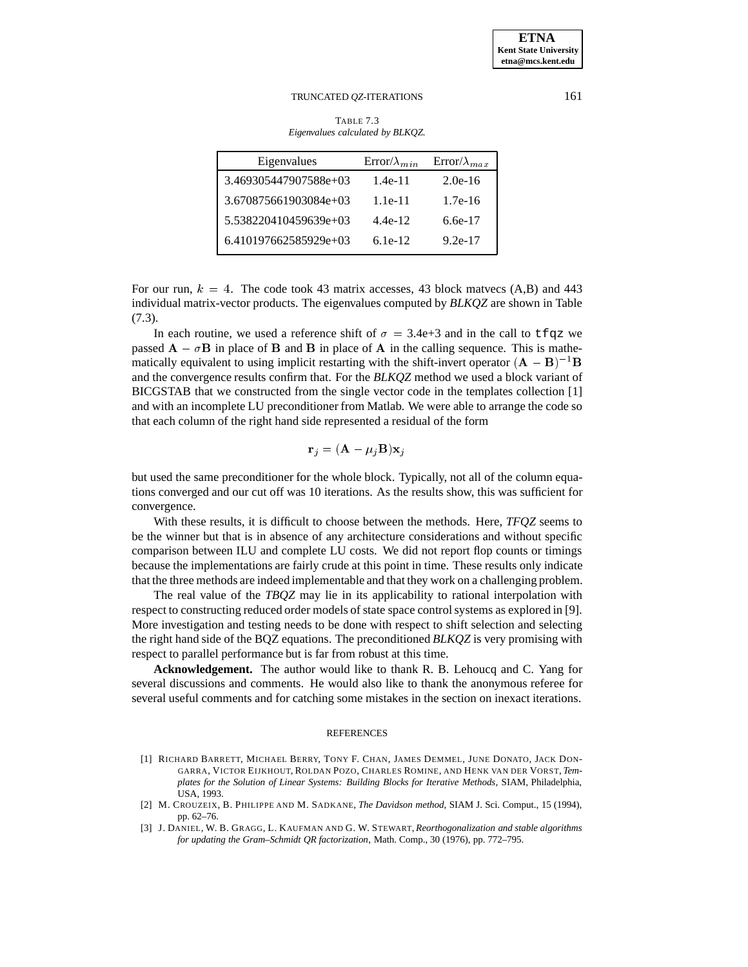TABLE 7.3 *Eigenvalues calculated by BLKQZ.*

| Eigenvalues             | $Error/\lambda_{min}$ | $Error/\lambda_{max}$ |
|-------------------------|-----------------------|-----------------------|
| 3.469305447907588e+03   | $1.4e-11$             | $2.0e-16$             |
| 3.670875661903084e+03   | $1.1e-11$             | $1.7e-16$             |
| 5.538220410459639e+03   | $4.4e-12$             | $6.6e-17$             |
| $6.410197662585929e+03$ | $6.1e-12$             | $9.2e-17$             |
|                         |                       |                       |

For our run,  $k = 4$ . The code took 43 matrix accesses, 43 block matvecs (A,B) and 443 individual matrix-vector products. The eigenvalues computed by *BLKQZ* are shown in Table (7.3).

In each routine, we used a reference shift of  $\sigma = 3.4e+3$  and in the call to tfqz we passed  $\bf{A} - \sigma \bf{B}$  in place of  $\bf{B}$  and  $\bf{B}$  in place of  $\bf{A}$  in the calling sequence. This is mathematically equivalent to using implicit restarting with the shift-invert operator  $(A - B)^{-1}B$ and the convergence results confirm that. For the *BLKQZ* method we used a block variant of BICGSTAB that we constructed from the single vector code in the templates collection [1] and with an incomplete LU preconditioner from Matlab. We were able to arrange the code so that each column of the right hand side represented a residual of the form

$$
\mathbf{r}_j = (\mathbf{A} - \mu_j \mathbf{B})\mathbf{x}_j
$$

but used the same preconditioner for the whole block. Typically, not all of the column equations converged and our cut off was 10 iterations. As the results show, this was sufficient for convergence.

With these results, it is difficult to choose between the methods. Here, *TFQZ* seems to be the winner but that is in absence of any architecture considerations and without specific comparison between ILU and complete LU costs. We did not report flop counts or timings because the implementations are fairly crude at this point in time. These results only indicate that the three methods are indeed implementable and that they work on a challenging problem.

The real value of the *TBQZ* may lie in its applicability to rational interpolation with respect to constructing reduced order models of state space control systems as explored in [9]. More investigation and testing needs to be done with respect to shift selection and selecting the right hand side of the BQZ equations. The preconditioned *BLKQZ* is very promising with respect to parallel performance but is far from robust at this time.

**Acknowledgement.** The author would like to thank R. B. Lehoucq and C. Yang for several discussions and comments. He would also like to thank the anonymous referee for several useful comments and for catching some mistakes in the section on inexact iterations.

#### **REFERENCES**

- [1] RICHARD BARRETT, MICHAEL BERRY, TONY F. CHAN, JAMES DEMMEL, JUNE DONATO, JACK DON-GARRA, VICTOR EIJKHOUT, ROLDAN POZO, CHARLES ROMINE, AND HENK VAN DER VORST, *Templates for the Solution of Linear Systems: Building Blocks for Iterative Methods*, SIAM, Philadelphia, USA, 1993.
- [2] M. CROUZEIX, B. PHILIPPE AND M. SADKANE, *The Davidson method*, SIAM J. Sci. Comput., 15 (1994), pp. 62–76.
- [3] J. DANIEL, W. B. GRAGG, L. KAUFMAN AND G. W. STEWART, *Reorthogonalization and stable algorithms for updating the Gram–Schmidt QR factorization*, Math. Comp., 30 (1976), pp. 772–795.